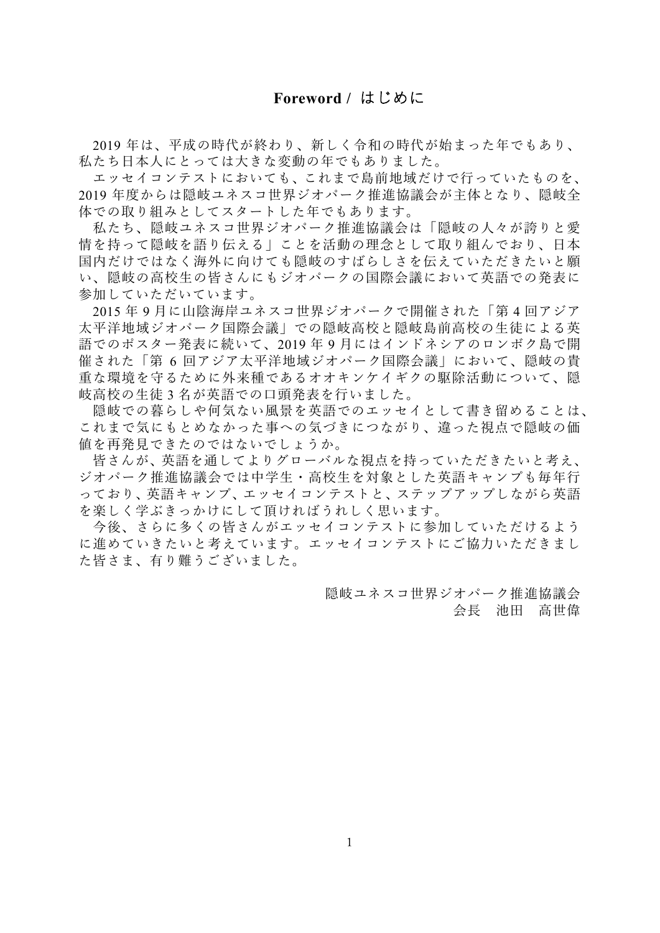<span id="page-0-0"></span>2019 年は、平成の時代が終わり、新しく令和の時代が始まった年でもあり、 私たち日本人にとっては大きな変動の年でもありました。

エッセイコンテストにおいても、これまで島前地域だけで行っていたものを、 2019 年度からは隠岐ユネスコ世界ジオパーク推進協議会が主体となり、隠岐全 体での取り組みとしてスタートした年でもあります。

私たち、隠岐ユネスコ世界ジオパーク推進協議会は「隠岐の人々が誇りと愛 情を持って隠岐を語り伝える」ことを活動の理念として取り組んでおり、日本 国内だけではなく海外に向けても隠岐のすばらしさを伝えていただきたいと願 い、隠岐の高校生の皆さんにもジオパークの国際会議において英語での発表に 参加していただいています。

2015 年 9 月に山陰海岸ユネスコ世界ジオパークで開催された「第 4 回アジア 太平洋地域ジオパーク国際会議」での隠岐高校と隠岐島前高校の生徒による英 語でのポスター発表に続いて、2019 年 9 月にはインドネシアのロンボク島で開 催された「第 6 回アジア太平洋地域ジオパーク国際会議」において、隠岐の貴 重な環境を守るために外来種であるオオキンケイギクの駆除活動について、隠 岐高校の生徒 3 名が英語での口頭発表を行いました。

隠岐での暮らしや何気ない風景を英語でのエッセイとして書き留めることは、 これまで気にもとめなかった事への気づきにつながり、違った視点で隠岐の価 値を再発見できたのではないでしょうか。

皆さんが、英語を通してよりグローバルな視点を持っていただきたいと考え、 ジオパーク推進協議会では中学生・高校生を対象とした英語キャンプも毎年行 っており、英語キャンプ、エッセイコンテストと、ステップアップしながら英語 を楽しく学ぶきっかけにして頂ければうれしく思います。

今後、さらに多くの皆さんがエッセイコンテストに参加していただけるよう に進めていきたいと考えています。エッセイコンテストにご協力いただきまし た皆さま、有り難うございました。

> 隠岐ユネスコ世界ジオパーク推進協議会 会長 池田 高世偉

1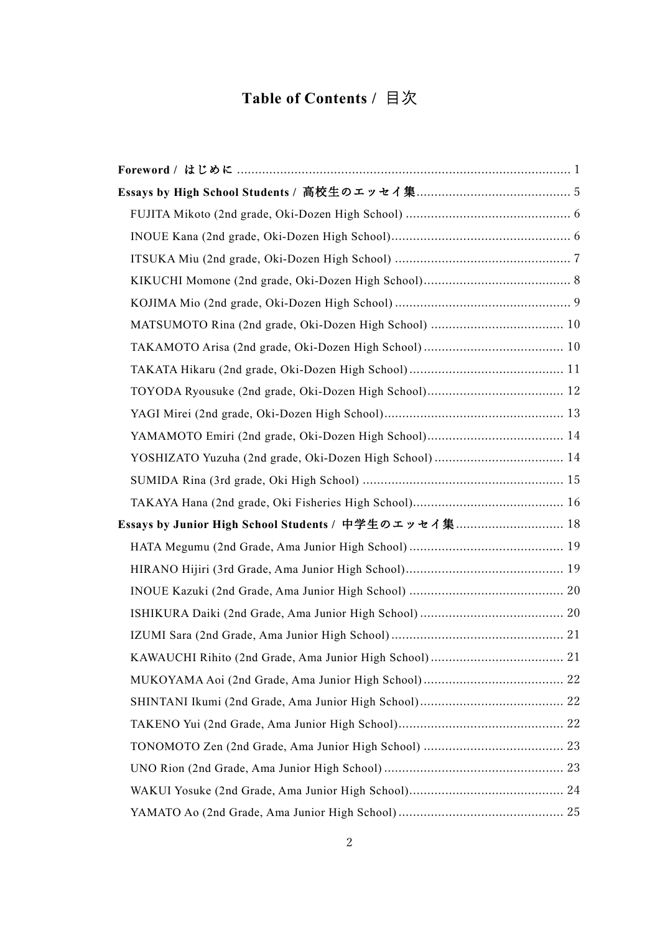# **Table of Contents /** 目次

| Essays by Junior High School Students / 中学生のエッセイ集 18 |  |
|------------------------------------------------------|--|
|                                                      |  |
|                                                      |  |
|                                                      |  |
|                                                      |  |
|                                                      |  |
|                                                      |  |
|                                                      |  |
|                                                      |  |
|                                                      |  |
|                                                      |  |
|                                                      |  |
|                                                      |  |
|                                                      |  |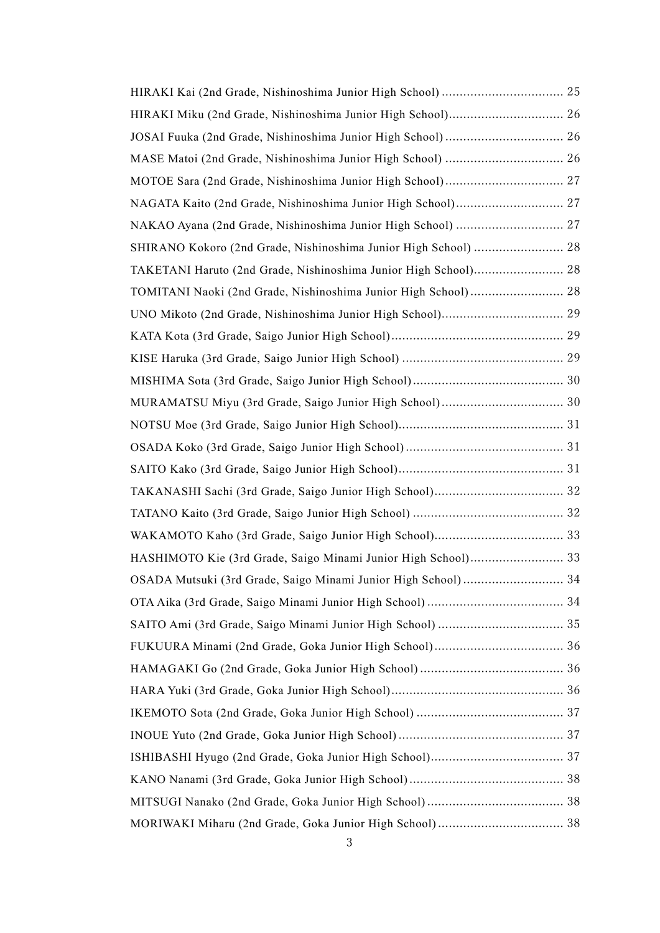| NAKAO Ayana (2nd Grade, Nishinoshima Junior High School)  27    |  |
|-----------------------------------------------------------------|--|
| SHIRANO Kokoro (2nd Grade, Nishinoshima Junior High School)  28 |  |
| TAKETANI Haruto (2nd Grade, Nishinoshima Junior High School) 28 |  |
| TOMITANI Naoki (2nd Grade, Nishinoshima Junior High School) 28  |  |
|                                                                 |  |
|                                                                 |  |
|                                                                 |  |
|                                                                 |  |
|                                                                 |  |
|                                                                 |  |
|                                                                 |  |
|                                                                 |  |
|                                                                 |  |
|                                                                 |  |
|                                                                 |  |
| HASHIMOTO Kie (3rd Grade, Saigo Minami Junior High School) 33   |  |
|                                                                 |  |
|                                                                 |  |
|                                                                 |  |
|                                                                 |  |
|                                                                 |  |
|                                                                 |  |
|                                                                 |  |
|                                                                 |  |
|                                                                 |  |
|                                                                 |  |
|                                                                 |  |
|                                                                 |  |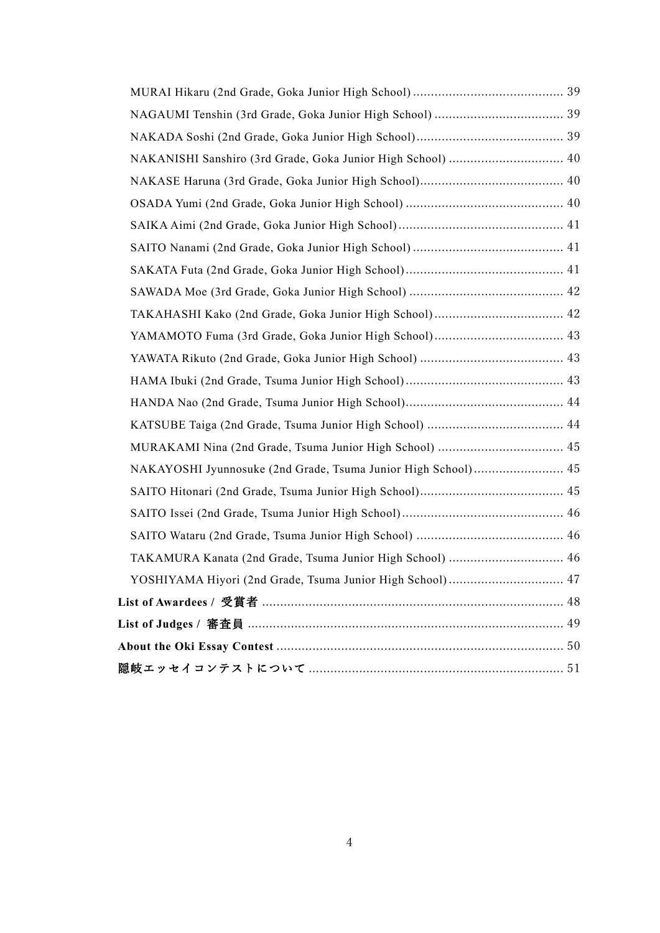| NAKANISHI Sanshiro (3rd Grade, Goka Junior High School)  40   |  |
|---------------------------------------------------------------|--|
|                                                               |  |
|                                                               |  |
|                                                               |  |
|                                                               |  |
|                                                               |  |
|                                                               |  |
|                                                               |  |
|                                                               |  |
|                                                               |  |
|                                                               |  |
|                                                               |  |
|                                                               |  |
|                                                               |  |
| NAKAYOSHI Jyunnosuke (2nd Grade, Tsuma Junior High School) 45 |  |
|                                                               |  |
|                                                               |  |
|                                                               |  |
| TAKAMURA Kanata (2nd Grade, Tsuma Junior High School)  46     |  |
| YOSHIYAMA Hiyori (2nd Grade, Tsuma Junior High School) 47     |  |
|                                                               |  |
|                                                               |  |
|                                                               |  |
|                                                               |  |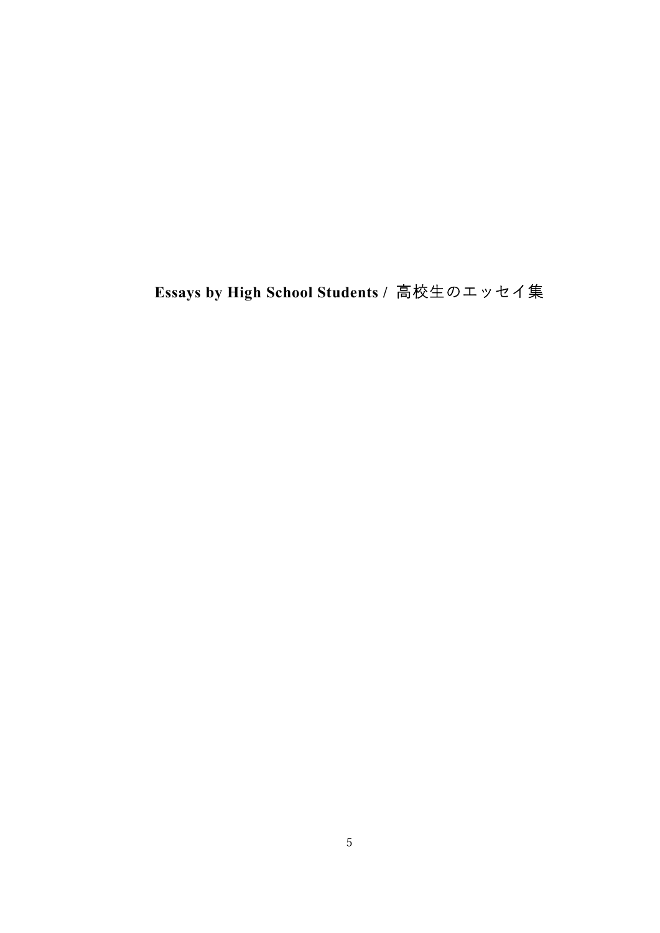# <span id="page-4-0"></span>**Essays by High School Students /** 高校生のエッセイ集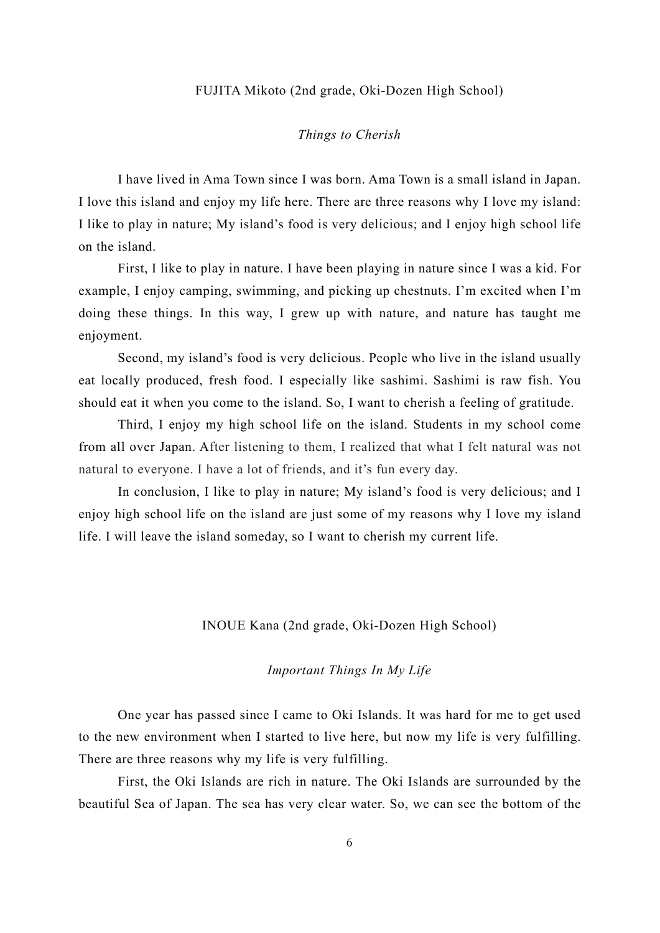#### FUJITA Mikoto (2nd grade, Oki-Dozen High School)

#### *Things to Cherish*

<span id="page-5-0"></span>I have lived in Ama Town since I was born. Ama Town is a small island in Japan. I love this island and enjoy my life here. There are three reasons why I love my island: I like to play in nature; My island's food is very delicious; and I enjoy high school life on the island.

First, I like to play in nature. I have been playing in nature since I was a kid. For example, I enjoy camping, swimming, and picking up chestnuts. I'm excited when I'm doing these things. In this way, I grew up with nature, and nature has taught me enjoyment.

Second, my island's food is very delicious. People who live in the island usually eat locally produced, fresh food. I especially like sashimi. Sashimi is raw fish. You should eat it when you come to the island. So, I want to cherish a feeling of gratitude.

Third, I enjoy my high school life on the island. Students in my school come from all over Japan. After listening to them, I realized that what I felt natural was not natural to everyone. I have a lot of friends, and it's fun every day.

In conclusion, I like to play in nature; My island's food is very delicious; and I enjoy high school life on the island are just some of my reasons why I love my island life. I will leave the island someday, so I want to cherish my current life.

#### INOUE Kana (2nd grade, Oki-Dozen High School)

#### *Important Things In My Life*

<span id="page-5-1"></span>One year has passed since I came to Oki Islands. It was hard for me to get used to the new environment when I started to live here, but now my life is very fulfilling. There are three reasons why my life is very fulfilling.

First, the Oki Islands are rich in nature. The Oki Islands are surrounded by the beautiful Sea of Japan. The sea has very clear water. So, we can see the bottom of the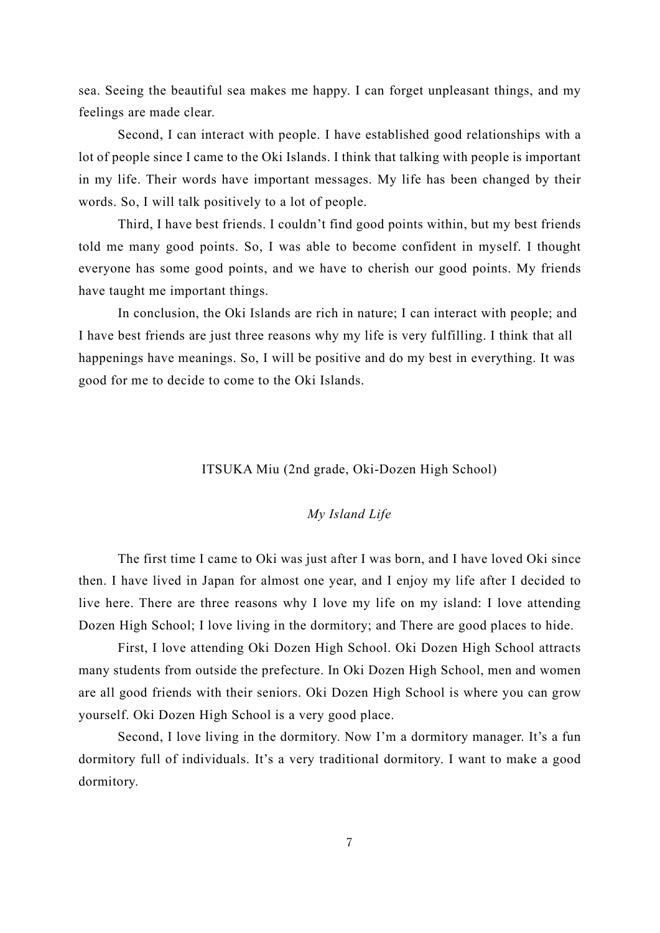sea. Seeing the beautiful sea makes me happy. I can forget unpleasant things, and my feelings are made clear.

Second, I can interact with people. I have established good relationships with a lot of people since I came to the Oki Islands. I think that talking with people is important in my life. Their words have important messages. My life has been changed by their words. So, I will talk positively to a lot of people.

Third, I have best friends. I couldn't find good points within, but my best friends told me many good points. So, I was able to become confident in myself. I thought everyone has some good points, and we have to cherish our good points. My friends have taught me important things.

In conclusion, the Oki Islands are rich in nature; I can interact with people; and I have best friends are just three reasons why my life is very fulfilling. I think that all happenings have meanings. So, I will be positive and do my best in everything. It was good for me to decide to come to the Oki Islands.

## ITSUKA Miu (2nd grade, Oki-Dozen High School)

#### *My Island Life*

<span id="page-6-0"></span>The first time I came to Oki was just after I was born, and I have loved Oki since then. I have lived in Japan for almost one year, and I enjoy my life after I decided to live here. There are three reasons why I love my life on my island: I love attending Dozen High School; I love living in the dormitory; and There are good places to hide.

First, I love attending Oki Dozen High School. Oki Dozen High School attracts many students from outside the prefecture. In Oki Dozen High School, men and women are all good friends with their seniors. Oki Dozen High School is where you can grow yourself. Oki Dozen High School is a very good place.

Second, I love living in the dormitory. Now I'm a dormitory manager. It's a fun dormitory full of individuals. It's a very traditional dormitory. I want to make a good dormitory.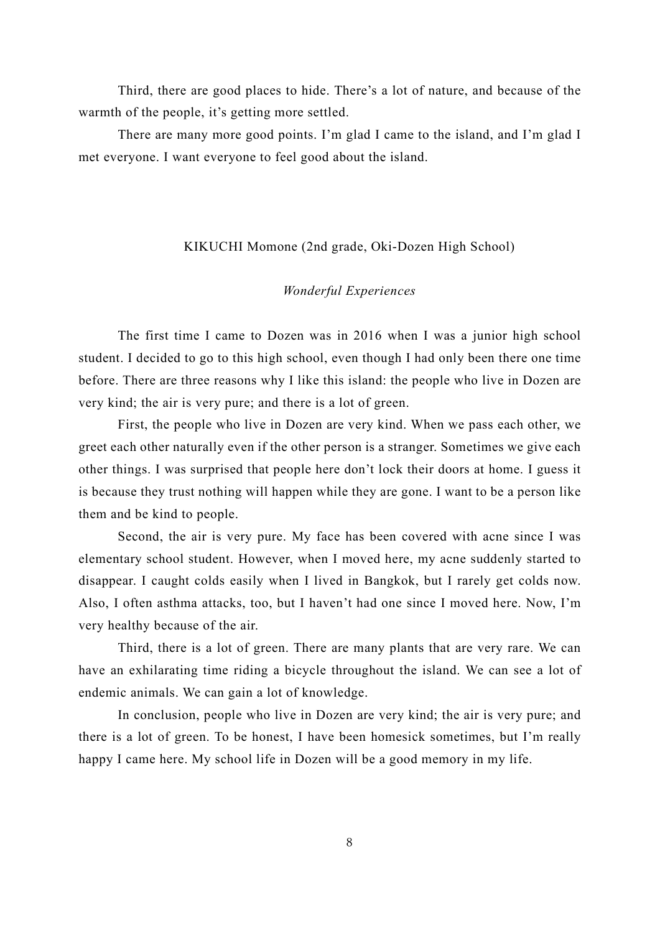Third, there are good places to hide. There's a lot of nature, and because of the warmth of the people, it's getting more settled.

There are many more good points. I'm glad I came to the island, and I'm glad I met everyone. I want everyone to feel good about the island.

#### KIKUCHI Momone (2nd grade, Oki-Dozen High School)

## *Wonderful Experiences*

<span id="page-7-0"></span>The first time I came to Dozen was in 2016 when I was a junior high school student. I decided to go to this high school, even though I had only been there one time before. There are three reasons why I like this island: the people who live in Dozen are very kind; the air is very pure; and there is a lot of green.

First, the people who live in Dozen are very kind. When we pass each other, we greet each other naturally even if the other person is a stranger. Sometimes we give each other things. I was surprised that people here don't lock their doors at home. I guess it is because they trust nothing will happen while they are gone. I want to be a person like them and be kind to people.

Second, the air is very pure. My face has been covered with acne since I was elementary school student. However, when I moved here, my acne suddenly started to disappear. I caught colds easily when I lived in Bangkok, but I rarely get colds now. Also, I often asthma attacks, too, but I haven't had one since I moved here. Now, I'm very healthy because of the air.

Third, there is a lot of green. There are many plants that are very rare. We can have an exhilarating time riding a bicycle throughout the island. We can see a lot of endemic animals. We can gain a lot of knowledge.

In conclusion, people who live in Dozen are very kind; the air is very pure; and there is a lot of green. To be honest, I have been homesick sometimes, but I'm really happy I came here. My school life in Dozen will be a good memory in my life.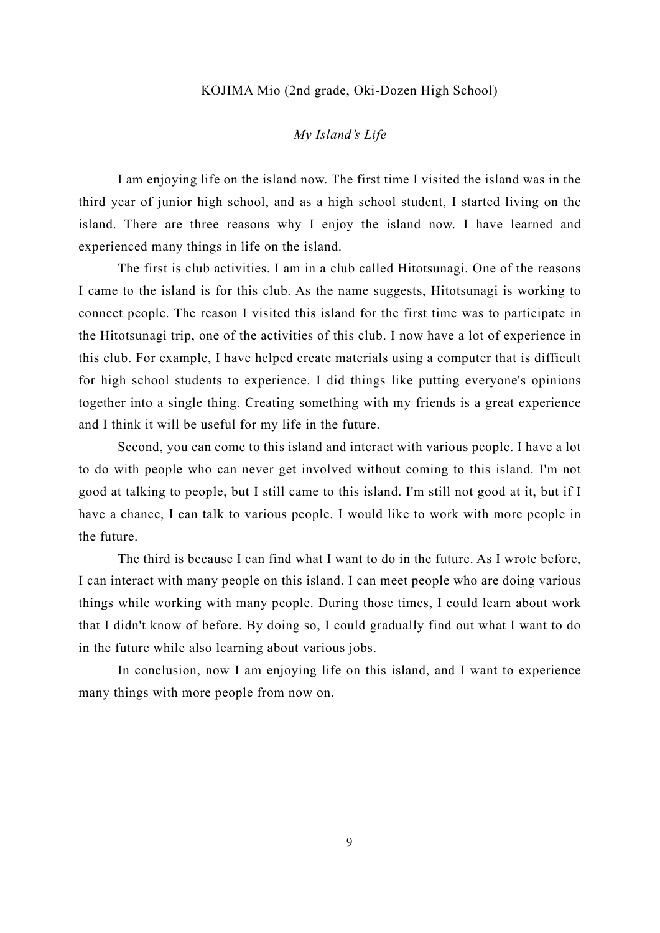#### KOJIMA Mio (2nd grade, Oki-Dozen High School)

## *My Island's Life*

<span id="page-8-0"></span>I am enjoying life on the island now. The first time I visited the island was in the third year of junior high school, and as a high school student, I started living on the island. There are three reasons why I enjoy the island now. I have learned and experienced many things in life on the island.

The first is club activities. I am in a club called Hitotsunagi. One of the reasons I came to the island is for this club. As the name suggests, Hitotsunagi is working to connect people. The reason I visited this island for the first time was to participate in the Hitotsunagi trip, one of the activities of this club. I now have a lot of experience in this club. For example, I have helped create materials using a computer that is difficult for high school students to experience. I did things like putting everyone's opinions together into a single thing. Creating something with my friends is a great experience and I think it will be useful for my life in the future.

Second, you can come to this island and interact with various people. I have a lot to do with people who can never get involved without coming to this island. I'm not good at talking to people, but I still came to this island. I'm still not good at it, but if I have a chance, I can talk to various people. I would like to work with more people in the future.

The third is because I can find what I want to do in the future. As I wrote before, I can interact with many people on this island. I can meet people who are doing various things while working with many people. During those times, I could learn about work that I didn't know of before. By doing so, I could gradually find out what I want to do in the future while also learning about various jobs.

In conclusion, now I am enjoying life on this island, and I want to experience many things with more people from now on.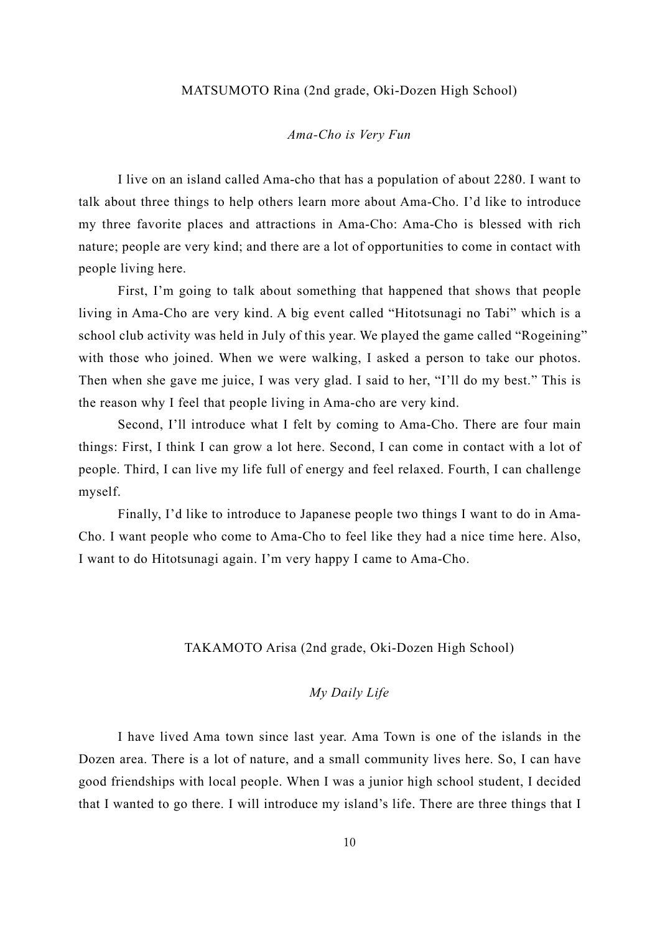#### MATSUMOTO Rina (2nd grade, Oki-Dozen High School)

#### *Ama-Cho is Very Fun*

<span id="page-9-0"></span>I live on an island called Ama-cho that has a population of about 2280. I want to talk about three things to help others learn more about Ama-Cho. I'd like to introduce my three favorite places and attractions in Ama-Cho: Ama-Cho is blessed with rich nature; people are very kind; and there are a lot of opportunities to come in contact with people living here.

First, I'm going to talk about something that happened that shows that people living in Ama-Cho are very kind. A big event called "Hitotsunagi no Tabi" which is a school club activity was held in July of this year. We played the game called "Rogeining" with those who joined. When we were walking, I asked a person to take our photos. Then when she gave me juice, I was very glad. I said to her, "I'll do my best." This is the reason why I feel that people living in Ama-cho are very kind.

Second, I'll introduce what I felt by coming to Ama-Cho. There are four main things: First, I think I can grow a lot here. Second, I can come in contact with a lot of people. Third, I can live my life full of energy and feel relaxed. Fourth, I can challenge myself.

Finally, I'd like to introduce to Japanese people two things I want to do in Ama-Cho. I want people who come to Ama-Cho to feel like they had a nice time here. Also, I want to do Hitotsunagi again. I'm very happy I came to Ama-Cho.

## TAKAMOTO Arisa (2nd grade, Oki-Dozen High School)

## *My Daily Life*

<span id="page-9-1"></span>I have lived Ama town since last year. Ama Town is one of the islands in the Dozen area. There is a lot of nature, and a small community lives here. So, I can have good friendships with local people. When I was a junior high school student, I decided that I wanted to go there. I will introduce my island's life. There are three things that I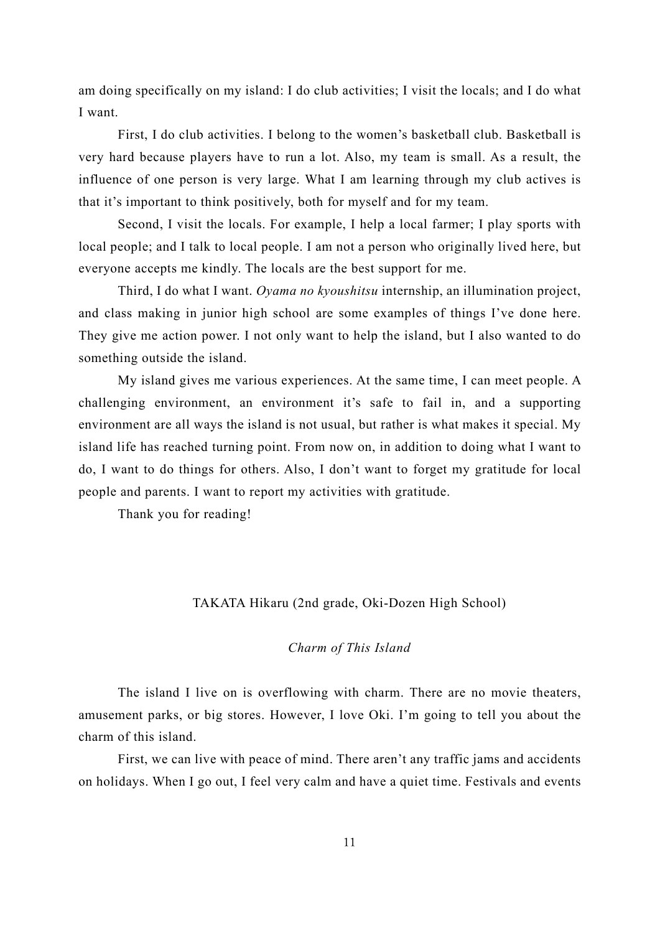am doing specifically on my island: I do club activities; I visit the locals; and I do what I want.

First, I do club activities. I belong to the women's basketball club. Basketball is very hard because players have to run a lot. Also, my team is small. As a result, the influence of one person is very large. What I am learning through my club actives is that it's important to think positively, both for myself and for my team.

Second, I visit the locals. For example, I help a local farmer; I play sports with local people; and I talk to local people. I am not a person who originally lived here, but everyone accepts me kindly. The locals are the best support for me.

Third, I do what I want. *Oyama no kyoushitsu* internship, an illumination project, and class making in junior high school are some examples of things I've done here. They give me action power. I not only want to help the island, but I also wanted to do something outside the island.

My island gives me various experiences. At the same time, I can meet people. A challenging environment, an environment it's safe to fail in, and a supporting environment are all ways the island is not usual, but rather is what makes it special. My island life has reached turning point. From now on, in addition to doing what I want to do, I want to do things for others. Also, I don't want to forget my gratitude for local people and parents. I want to report my activities with gratitude.

<span id="page-10-0"></span>Thank you for reading!

## TAKATA Hikaru (2nd grade, Oki-Dozen High School)

## *Charm of This Island*

The island I live on is overflowing with charm. There are no movie theaters, amusement parks, or big stores. However, I love Oki. I'm going to tell you about the charm of this island.

First, we can live with peace of mind. There aren't any traffic jams and accidents on holidays. When I go out, I feel very calm and have a quiet time. Festivals and events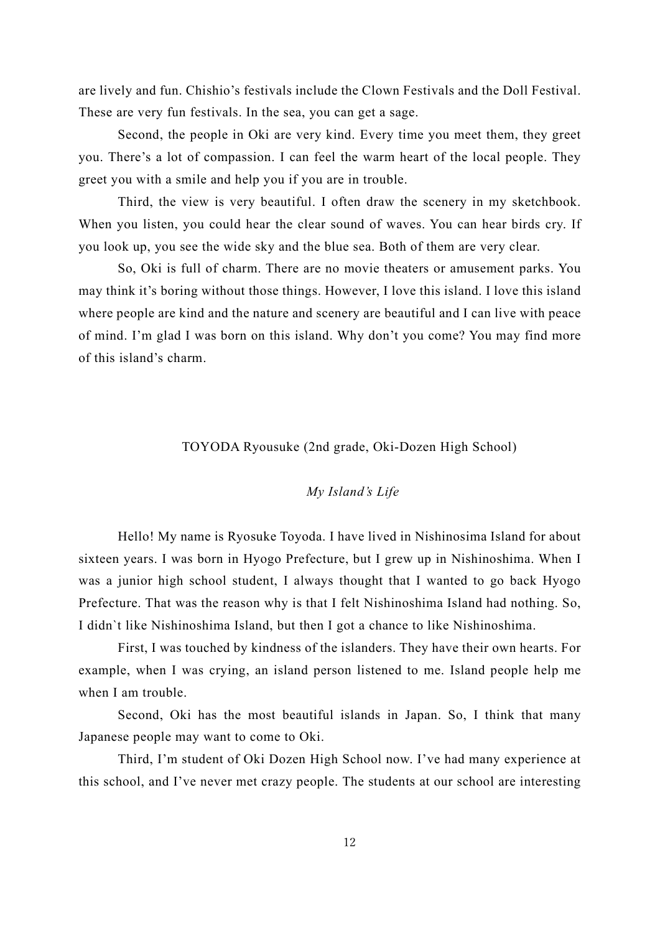are lively and fun. Chishio's festivals include the Clown Festivals and the Doll Festival. These are very fun festivals. In the sea, you can get a sage.

Second, the people in Oki are very kind. Every time you meet them, they greet you. There's a lot of compassion. I can feel the warm heart of the local people. They greet you with a smile and help you if you are in trouble.

Third, the view is very beautiful. I often draw the scenery in my sketchbook. When you listen, you could hear the clear sound of waves. You can hear birds cry. If you look up, you see the wide sky and the blue sea. Both of them are very clear.

So, Oki is full of charm. There are no movie theaters or amusement parks. You may think it's boring without those things. However, I love this island. I love this island where people are kind and the nature and scenery are beautiful and I can live with peace of mind. I'm glad I was born on this island. Why don't you come? You may find more of this island's charm.

TOYODA Ryousuke (2nd grade, Oki-Dozen High School)

## *My Island's Life*

<span id="page-11-0"></span>Hello! My name is Ryosuke Toyoda. I have lived in Nishinosima Island for about sixteen years. I was born in Hyogo Prefecture, but I grew up in Nishinoshima. When I was a junior high school student, I always thought that I wanted to go back Hyogo Prefecture. That was the reason why is that I felt Nishinoshima Island had nothing. So, I didn`t like Nishinoshima Island, but then I got a chance to like Nishinoshima.

First, I was touched by kindness of the islanders. They have their own hearts. For example, when I was crying, an island person listened to me. Island people help me when I am trouble.

Second, Oki has the most beautiful islands in Japan. So, I think that many Japanese people may want to come to Oki.

Third, I'm student of Oki Dozen High School now. I've had many experience at this school, and I've never met crazy people. The students at our school are interesting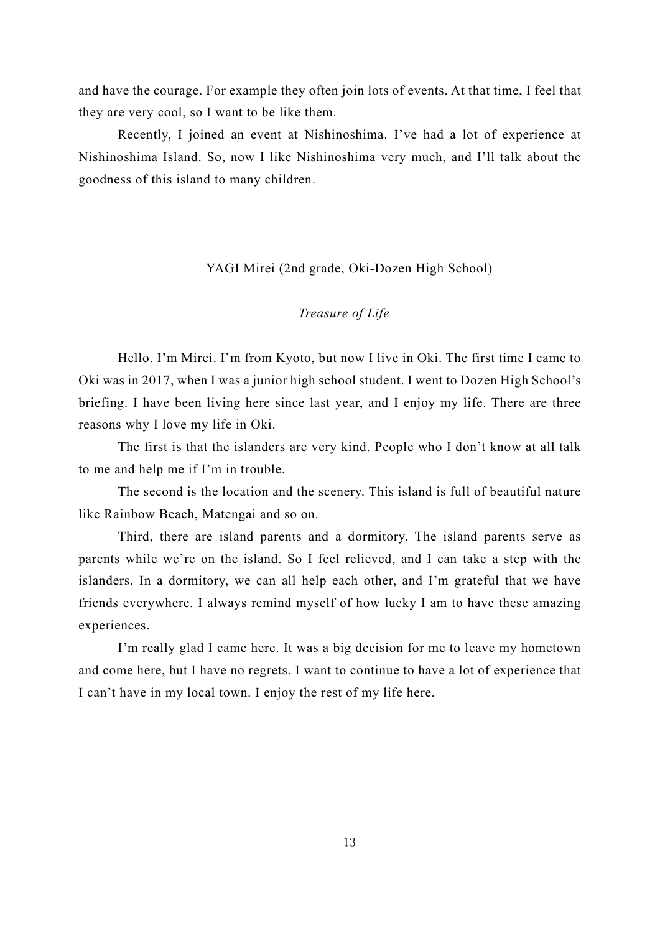and have the courage. For example they often join lots of events. At that time, I feel that they are very cool, so I want to be like them.

Recently, I joined an event at Nishinoshima. I've had a lot of experience at Nishinoshima Island. So, now I like Nishinoshima very much, and I'll talk about the goodness of this island to many children.

#### YAGI Mirei (2nd grade, Oki-Dozen High School)

## *Treasure of Life*

<span id="page-12-0"></span>Hello. I'm Mirei. I'm from Kyoto, but now I live in Oki. The first time I came to Oki was in 2017, when I was a junior high school student. I went to Dozen High School's briefing. I have been living here since last year, and I enjoy my life. There are three reasons why I love my life in Oki.

The first is that the islanders are very kind. People who I don't know at all talk to me and help me if I'm in trouble.

The second is the location and the scenery. This island is full of beautiful nature like Rainbow Beach, Matengai and so on.

Third, there are island parents and a dormitory. The island parents serve as parents while we're on the island. So I feel relieved, and I can take a step with the islanders. In a dormitory, we can all help each other, and I'm grateful that we have friends everywhere. I always remind myself of how lucky I am to have these amazing experiences.

I'm really glad I came here. It was a big decision for me to leave my hometown and come here, but I have no regrets. I want to continue to have a lot of experience that I can't have in my local town. I enjoy the rest of my life here.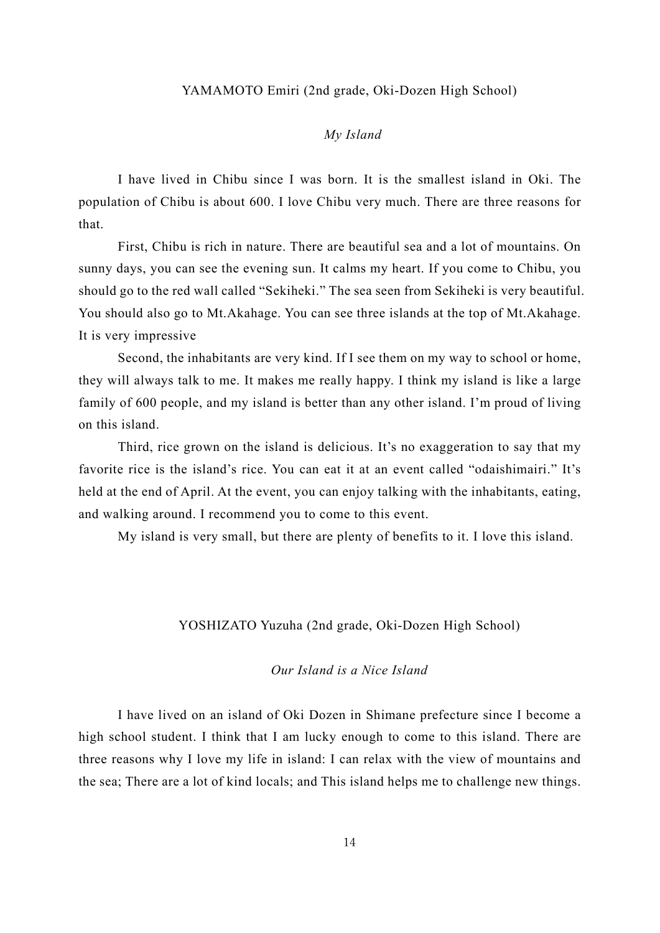#### YAMAMOTO Emiri (2nd grade, Oki-Dozen High School)

## *My Island*

<span id="page-13-0"></span>I have lived in Chibu since I was born. It is the smallest island in Oki. The population of Chibu is about 600. I love Chibu very much. There are three reasons for that.

First, Chibu is rich in nature. There are beautiful sea and a lot of mountains. On sunny days, you can see the evening sun. It calms my heart. If you come to Chibu, you should go to the red wall called "Sekiheki." The sea seen from Sekiheki is very beautiful. You should also go to Mt.Akahage. You can see three islands at the top of Mt.Akahage. It is very impressive

Second, the inhabitants are very kind. If I see them on my way to school or home, they will always talk to me. It makes me really happy. I think my island is like a large family of 600 people, and my island is better than any other island. I'm proud of living on this island.

Third, rice grown on the island is delicious. It's no exaggeration to say that my favorite rice is the island's rice. You can eat it at an event called "odaishimairi." It's held at the end of April. At the event, you can enjoy talking with the inhabitants, eating, and walking around. I recommend you to come to this event.

<span id="page-13-1"></span>My island is very small, but there are plenty of benefits to it. I love this island.

## YOSHIZATO Yuzuha (2nd grade, Oki-Dozen High School)

*Our Island is a Nice Island*

I have lived on an island of Oki Dozen in Shimane prefecture since I become a high school student. I think that I am lucky enough to come to this island. There are three reasons why I love my life in island: I can relax with the view of mountains and the sea; There are a lot of kind locals; and This island helps me to challenge new things.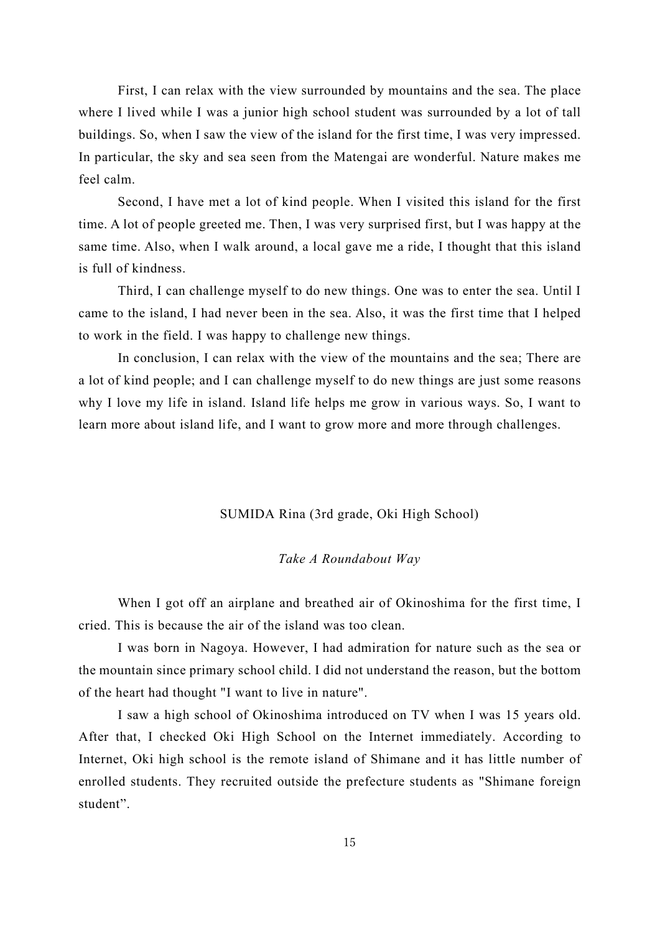First, I can relax with the view surrounded by mountains and the sea. The place where I lived while I was a junior high school student was surrounded by a lot of tall buildings. So, when I saw the view of the island for the first time, I was very impressed. In particular, the sky and sea seen from the Matengai are wonderful. Nature makes me feel calm.

Second, I have met a lot of kind people. When I visited this island for the first time. A lot of people greeted me. Then, I was very surprised first, but I was happy at the same time. Also, when I walk around, a local gave me a ride, I thought that this island is full of kindness.

Third, I can challenge myself to do new things. One was to enter the sea. Until I came to the island, I had never been in the sea. Also, it was the first time that I helped to work in the field. I was happy to challenge new things.

In conclusion, I can relax with the view of the mountains and the sea; There are a lot of kind people; and I can challenge myself to do new things are just some reasons why I love my life in island. Island life helps me grow in various ways. So, I want to learn more about island life, and I want to grow more and more through challenges.

SUMIDA Rina (3rd grade, Oki High School)

#### *Take A Roundabout Way*

<span id="page-14-0"></span>When I got off an airplane and breathed air of Okinoshima for the first time, I cried. This is because the air of the island was too clean.

I was born in Nagoya. However, I had admiration for nature such as the sea or the mountain since primary school child. I did not understand the reason, but the bottom of the heart had thought "I want to live in nature".

I saw a high school of Okinoshima introduced on TV when I was 15 years old. After that, I checked Oki High School on the Internet immediately. According to Internet, Oki high school is the remote island of Shimane and it has little number of enrolled students. They recruited outside the prefecture students as "Shimane foreign student".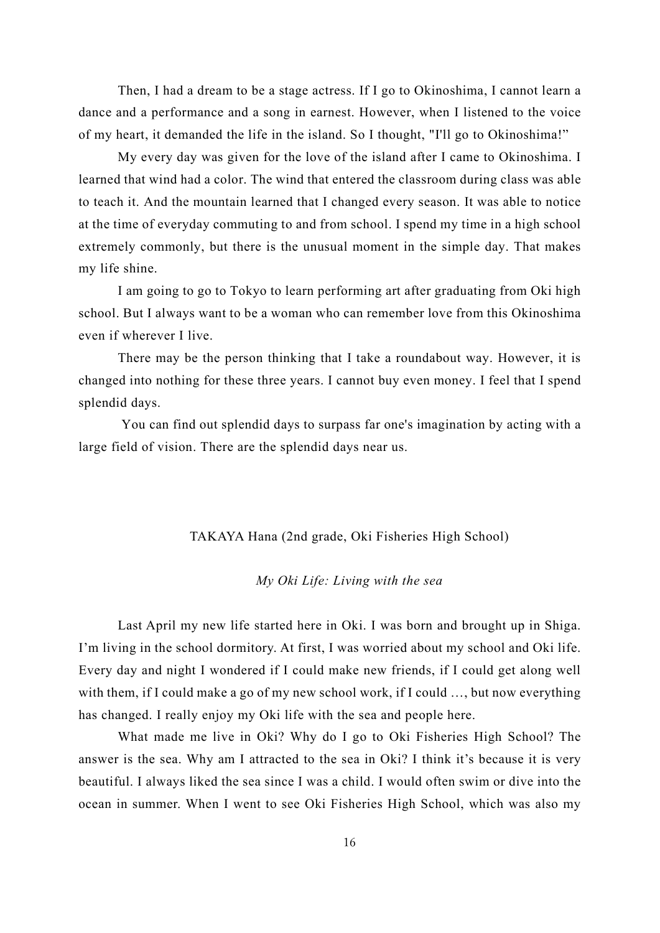Then, I had a dream to be a stage actress. If I go to Okinoshima, I cannot learn a dance and a performance and a song in earnest. However, when I listened to the voice of my heart, it demanded the life in the island. So I thought, "I'll go to Okinoshima!"

My every day was given for the love of the island after I came to Okinoshima. I learned that wind had a color. The wind that entered the classroom during class was able to teach it. And the mountain learned that I changed every season. It was able to notice at the time of everyday commuting to and from school. I spend my time in a high school extremely commonly, but there is the unusual moment in the simple day. That makes my life shine.

I am going to go to Tokyo to learn performing art after graduating from Oki high school. But I always want to be a woman who can remember love from this Okinoshima even if wherever I live.

There may be the person thinking that I take a roundabout way. However, it is changed into nothing for these three years. I cannot buy even money. I feel that I spend splendid days.

You can find out splendid days to surpass far one's imagination by acting with a large field of vision. There are the splendid days near us.

#### TAKAYA Hana (2nd grade, Oki Fisheries High School)

## *My Oki Life: Living with the sea*

<span id="page-15-0"></span>Last April my new life started here in Oki. I was born and brought up in Shiga. I'm living in the school dormitory. At first, I was worried about my school and Oki life. Every day and night I wondered if I could make new friends, if I could get along well with them, if I could make a go of my new school work, if I could …, but now everything has changed. I really enjoy my Oki life with the sea and people here.

What made me live in Oki? Why do I go to Oki Fisheries High School? The answer is the sea. Why am I attracted to the sea in Oki? I think it's because it is very beautiful. I always liked the sea since I was a child. I would often swim or dive into the ocean in summer. When I went to see Oki Fisheries High School, which was also my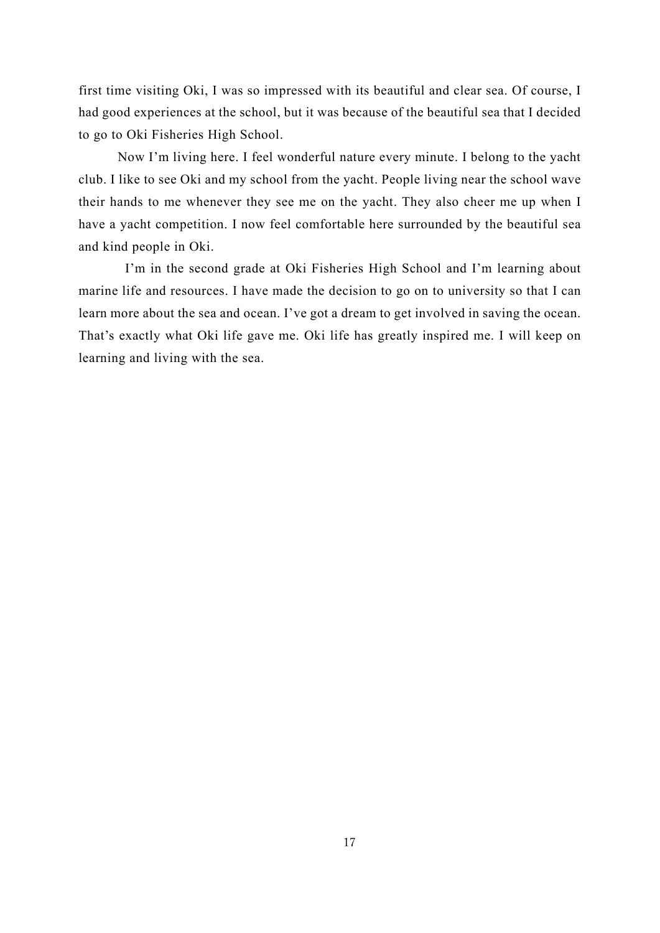first time visiting Oki, I was so impressed with its beautiful and clear sea. Of course, I had good experiences at the school, but it was because of the beautiful sea that I decided to go to Oki Fisheries High School.

Now I'm living here. I feel wonderful nature every minute. I belong to the yacht club. I like to see Oki and my school from the yacht. People living near the school wave their hands to me whenever they see me on the yacht. They also cheer me up when I have a yacht competition. I now feel comfortable here surrounded by the beautiful sea and kind people in Oki.

I'm in the second grade at Oki Fisheries High School and I'm learning about marine life and resources. I have made the decision to go on to university so that I can learn more about the sea and ocean. I've got a dream to get involved in saving the ocean. That's exactly what Oki life gave me. Oki life has greatly inspired me. I will keep on learning and living with the sea.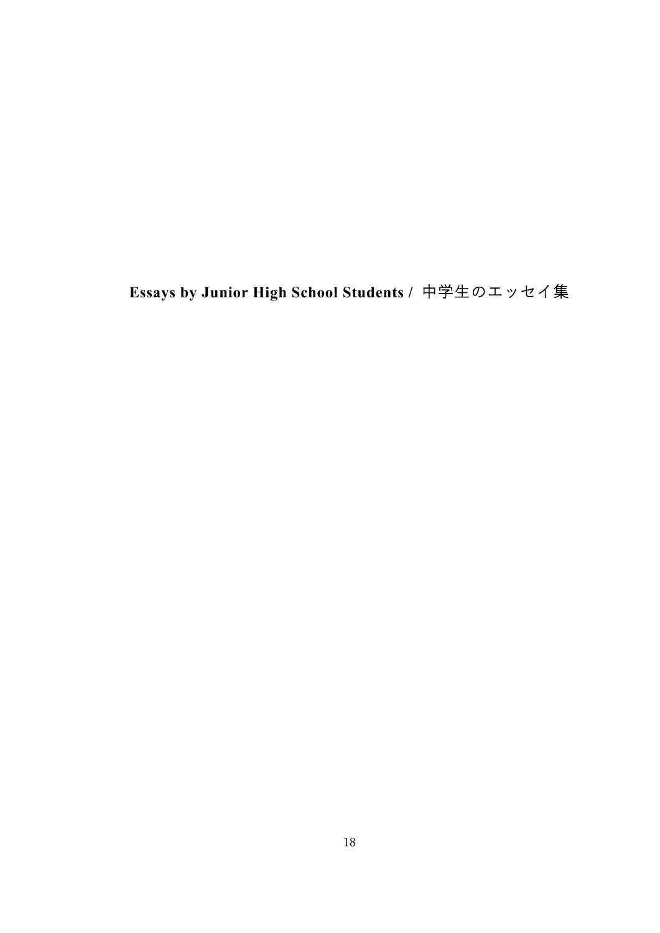# <span id="page-17-0"></span>**Essays by Junior High School Students /** 中学生のエッセイ集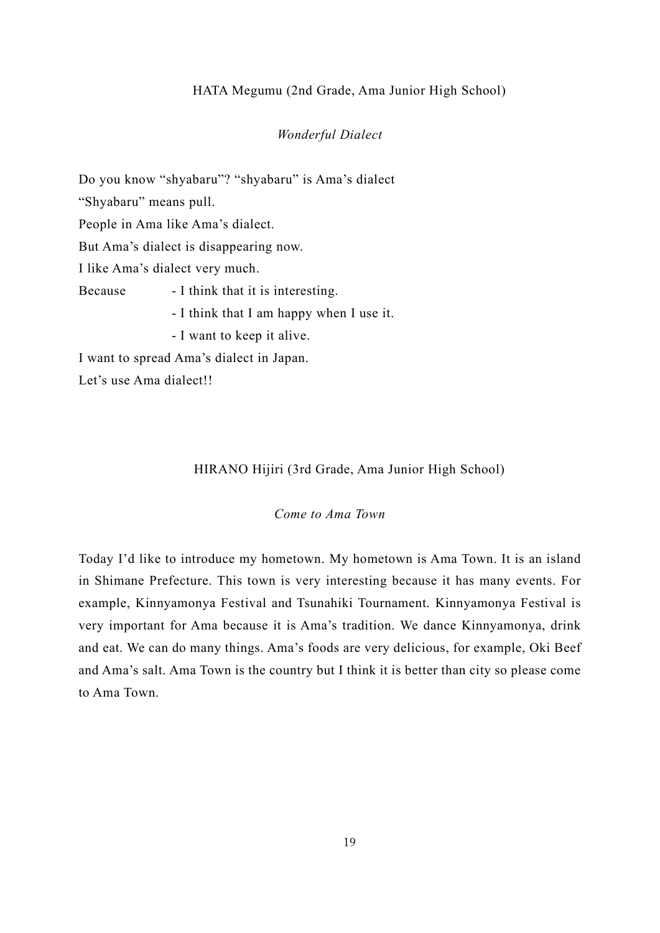## HATA Megumu (2nd Grade, Ama Junior High School)

#### *Wonderful Dialect*

<span id="page-18-0"></span>Do you know "shyabaru"? "shyabaru" is Ama's dialect "Shyabaru" means pull. People in Ama like Ama's dialect. But Ama's dialect is disappearing now. I like Ama's dialect very much. Because - I think that it is interesting. - I think that I am happy when I use it. - I want to keep it alive. I want to spread Ama's dialect in Japan. Let's use Ama dialect!!

## HIRANO Hijiri (3rd Grade, Ama Junior High School)

#### *Come to Ama Town*

<span id="page-18-1"></span>Today I'd like to introduce my hometown. My hometown is Ama Town. It is an island in Shimane Prefecture. This town is very interesting because it has many events. For example, Kinnyamonya Festival and Tsunahiki Tournament. Kinnyamonya Festival is very important for Ama because it is Ama's tradition. We dance Kinnyamonya, drink and eat. We can do many things. Ama's foods are very delicious, for example, Oki Beef and Ama's salt. Ama Town is the country but I think it is better than city so please come to Ama Town.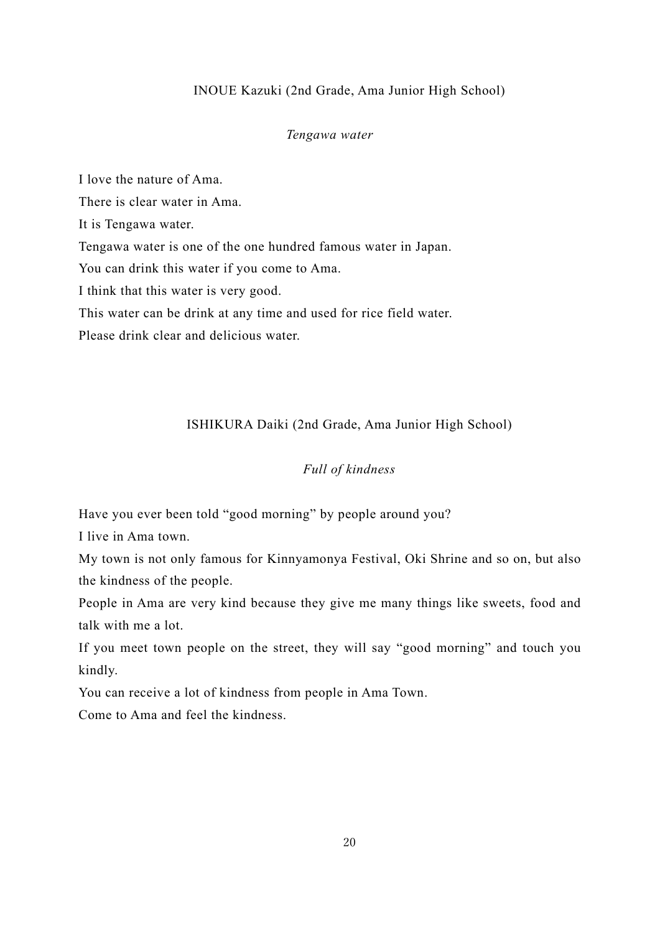## INOUE Kazuki (2nd Grade, Ama Junior High School)

#### *Tengawa water*

<span id="page-19-0"></span>I love the nature of Ama. There is clear water in Ama. It is Tengawa water. Tengawa water is one of the one hundred famous water in Japan. You can drink this water if you come to Ama. I think that this water is very good. This water can be drink at any time and used for rice field water. Please drink clear and delicious water.

#### ISHIKURA Daiki (2nd Grade, Ama Junior High School)

## *Full of kindness*

<span id="page-19-1"></span>Have you ever been told "good morning" by people around you?

I live in Ama town.

My town is not only famous for Kinnyamonya Festival, Oki Shrine and so on, but also the kindness of the people.

People in Ama are very kind because they give me many things like sweets, food and talk with me a lot.

If you meet town people on the street, they will say "good morning" and touch you kindly.

You can receive a lot of kindness from people in Ama Town.

Come to Ama and feel the kindness.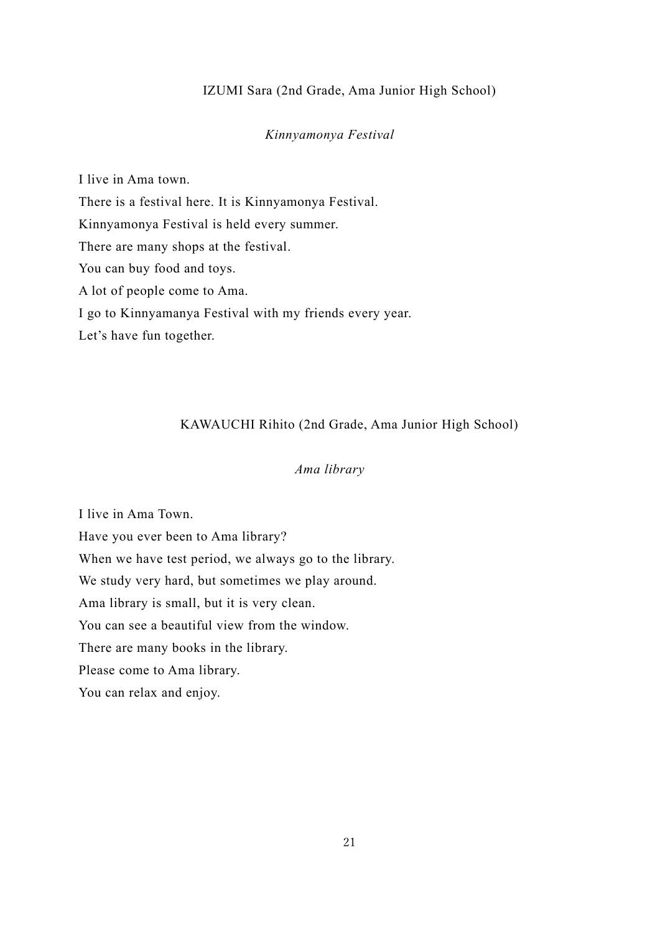#### IZUMI Sara (2nd Grade, Ama Junior High School)

#### *Kinnyamonya Festival*

<span id="page-20-0"></span>I live in Ama town. There is a festival here. It is Kinnyamonya Festival. Kinnyamonya Festival is held every summer. There are many shops at the festival. You can buy food and toys. A lot of people come to Ama. I go to Kinnyamanya Festival with my friends every year. Let's have fun together.

## KAWAUCHI Rihito (2nd Grade, Ama Junior High School)

## *Ama library*

<span id="page-20-1"></span>I live in Ama Town. Have you ever been to Ama library? When we have test period, we always go to the library. We study very hard, but sometimes we play around. Ama library is small, but it is very clean. You can see a beautiful view from the window. There are many books in the library. Please come to Ama library. You can relax and enjoy.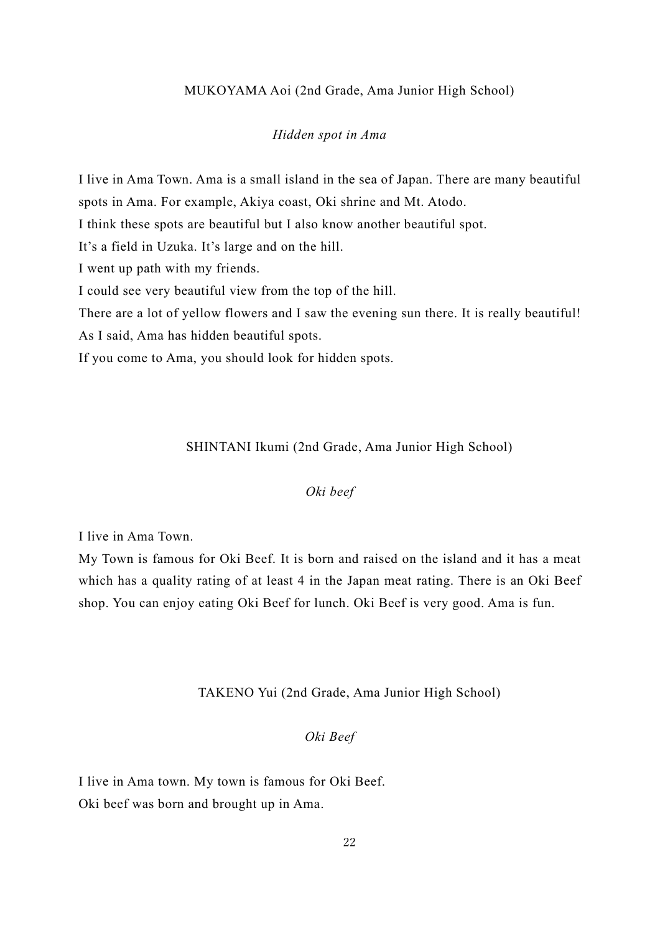#### MUKOYAMA Aoi (2nd Grade, Ama Junior High School)

## *Hidden spot in Ama*

<span id="page-21-0"></span>I live in Ama Town. Ama is a small island in the sea of Japan. There are many beautiful spots in Ama. For example, Akiya coast, Oki shrine and Mt. Atodo. I think these spots are beautiful but I also know another beautiful spot. It's a field in Uzuka. It's large and on the hill. I went up path with my friends. I could see very beautiful view from the top of the hill. There are a lot of yellow flowers and I saw the evening sun there. It is really beautiful! As I said, Ama has hidden beautiful spots.

<span id="page-21-1"></span>If you come to Ama, you should look for hidden spots.

SHINTANI Ikumi (2nd Grade, Ama Junior High School)

## *Oki beef*

I live in Ama Town.

My Town is famous for Oki Beef. It is born and raised on the island and it has a meat which has a quality rating of at least 4 in the Japan meat rating. There is an Oki Beef shop. You can enjoy eating Oki Beef for lunch. Oki Beef is very good. Ama is fun.

#### TAKENO Yui (2nd Grade, Ama Junior High School)

*Oki Beef*

<span id="page-21-2"></span>I live in Ama town. My town is famous for Oki Beef. Oki beef was born and brought up in Ama.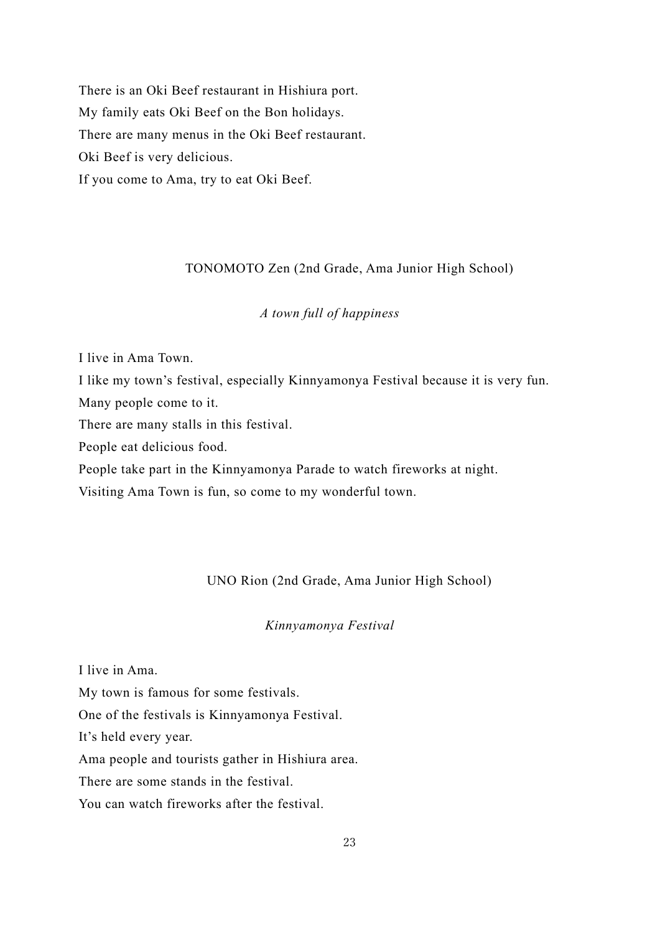There is an Oki Beef restaurant in Hishiura port. My family eats Oki Beef on the Bon holidays. There are many menus in the Oki Beef restaurant. Oki Beef is very delicious. If you come to Ama, try to eat Oki Beef.

## TONOMOTO Zen (2nd Grade, Ama Junior High School)

## *A town full of happiness*

<span id="page-22-0"></span>I live in Ama Town.

I like my town's festival, especially Kinnyamonya Festival because it is very fun.

Many people come to it.

There are many stalls in this festival.

People eat delicious food.

People take part in the Kinnyamonya Parade to watch fireworks at night.

<span id="page-22-1"></span>Visiting Ama Town is fun, so come to my wonderful town.

## UNO Rion (2nd Grade, Ama Junior High School)

## *Kinnyamonya Festival*

I live in Ama.

My town is famous for some festivals.

One of the festivals is Kinnyamonya Festival.

It's held every year.

Ama people and tourists gather in Hishiura area.

There are some stands in the festival.

You can watch fireworks after the festival.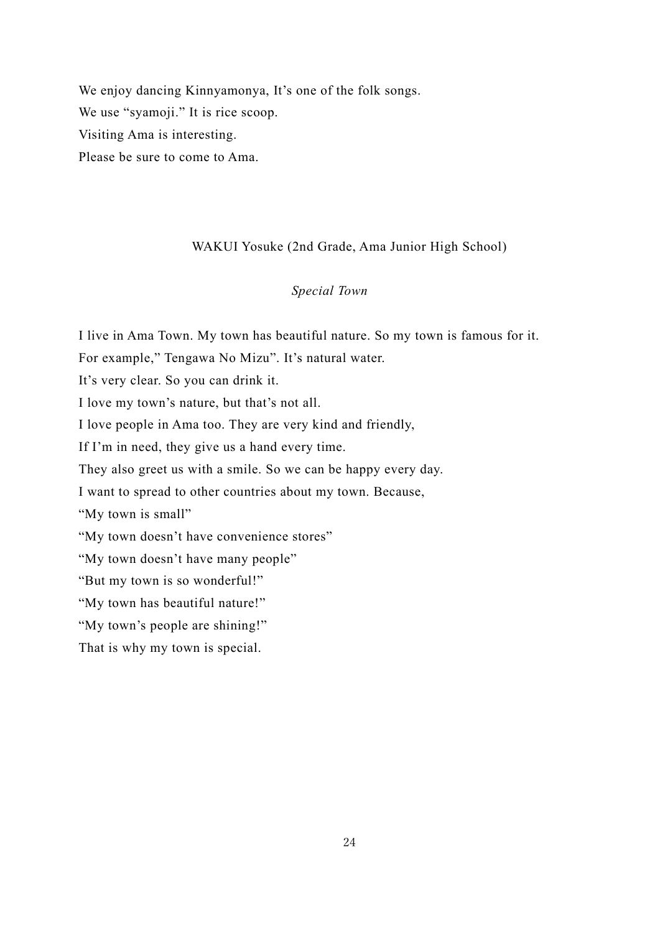We enjoy dancing Kinnyamonya, It's one of the folk songs. We use "syamoji." It is rice scoop. Visiting Ama is interesting. Please be sure to come to Ama.

## WAKUI Yosuke (2nd Grade, Ama Junior High School)

## *Special Town*

<span id="page-23-0"></span>I live in Ama Town. My town has beautiful nature. So my town is famous for it.

For example," Tengawa No Mizu". It's natural water.

It's very clear. So you can drink it.

I love my town's nature, but that's not all.

I love people in Ama too. They are very kind and friendly,

If I'm in need, they give us a hand every time.

They also greet us with a smile. So we can be happy every day.

I want to spread to other countries about my town. Because,

"My town is small"

"My town doesn't have convenience stores"

"My town doesn't have many people"

"But my town is so wonderful!"

"My town has beautiful nature!"

"My town's people are shining!"

That is why my town is special.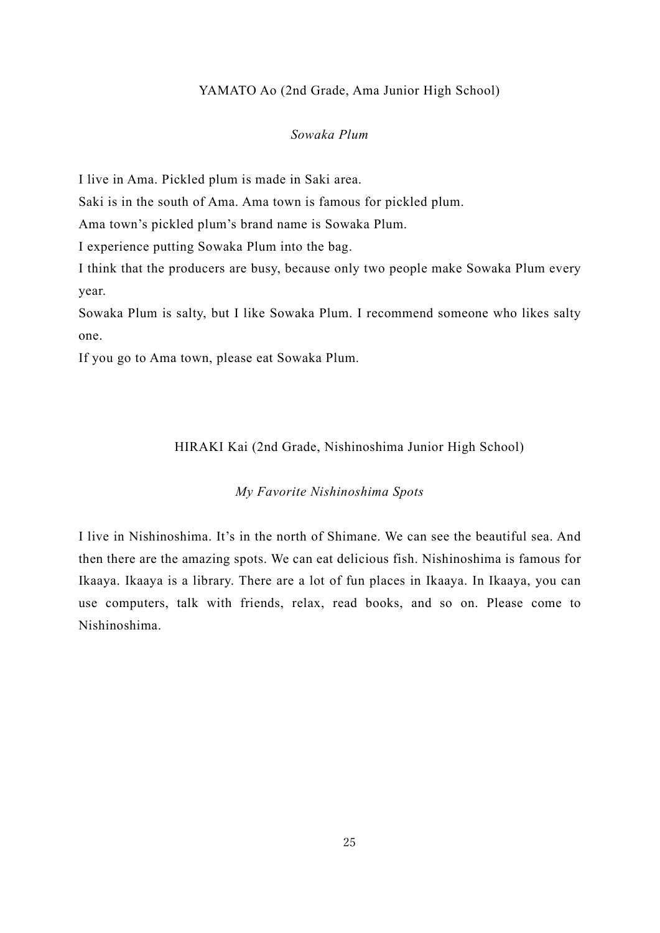#### YAMATO Ao (2nd Grade, Ama Junior High School)

#### *Sowaka Plum*

<span id="page-24-0"></span>I live in Ama. Pickled plum is made in Saki area.

Saki is in the south of Ama. Ama town is famous for pickled plum.

Ama town's pickled plum's brand name is Sowaka Plum.

I experience putting Sowaka Plum into the bag.

I think that the producers are busy, because only two people make Sowaka Plum every year.

Sowaka Plum is salty, but I like Sowaka Plum. I recommend someone who likes salty one.

<span id="page-24-1"></span>If you go to Ama town, please eat Sowaka Plum.

#### HIRAKI Kai (2nd Grade, Nishinoshima Junior High School)

## *My Favorite Nishinoshima Spots*

I live in Nishinoshima. It's in the north of Shimane. We can see the beautiful sea. And then there are the amazing spots. We can eat delicious fish. Nishinoshima is famous for Ikaaya. Ikaaya is a library. There are a lot of fun places in Ikaaya. In Ikaaya, you can use computers, talk with friends, relax, read books, and so on. Please come to Nishinoshima.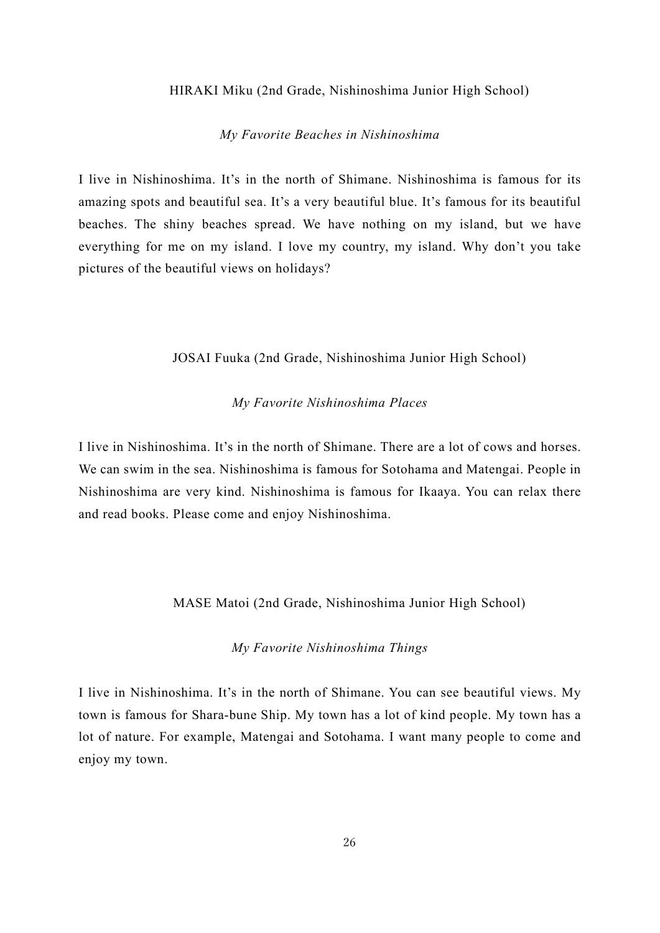#### <span id="page-25-0"></span>HIRAKI Miku (2nd Grade, Nishinoshima Junior High School)

#### *My Favorite Beaches in Nishinoshima*

I live in Nishinoshima. It's in the north of Shimane. Nishinoshima is famous for its amazing spots and beautiful sea. It's a very beautiful blue. It's famous for its beautiful beaches. The shiny beaches spread. We have nothing on my island, but we have everything for me on my island. I love my country, my island. Why don't you take pictures of the beautiful views on holidays?

#### JOSAI Fuuka (2nd Grade, Nishinoshima Junior High School)

#### *My Favorite Nishinoshima Places*

<span id="page-25-1"></span>I live in Nishinoshima. It's in the north of Shimane. There are a lot of cows and horses. We can swim in the sea. Nishinoshima is famous for Sotohama and Matengai. People in Nishinoshima are very kind. Nishinoshima is famous for Ikaaya. You can relax there and read books. Please come and enjoy Nishinoshima.

#### MASE Matoi (2nd Grade, Nishinoshima Junior High School)

#### *My Favorite Nishinoshima Things*

<span id="page-25-2"></span>I live in Nishinoshima. It's in the north of Shimane. You can see beautiful views. My town is famous for Shara-bune Ship. My town has a lot of kind people. My town has a lot of nature. For example, Matengai and Sotohama. I want many people to come and enjoy my town.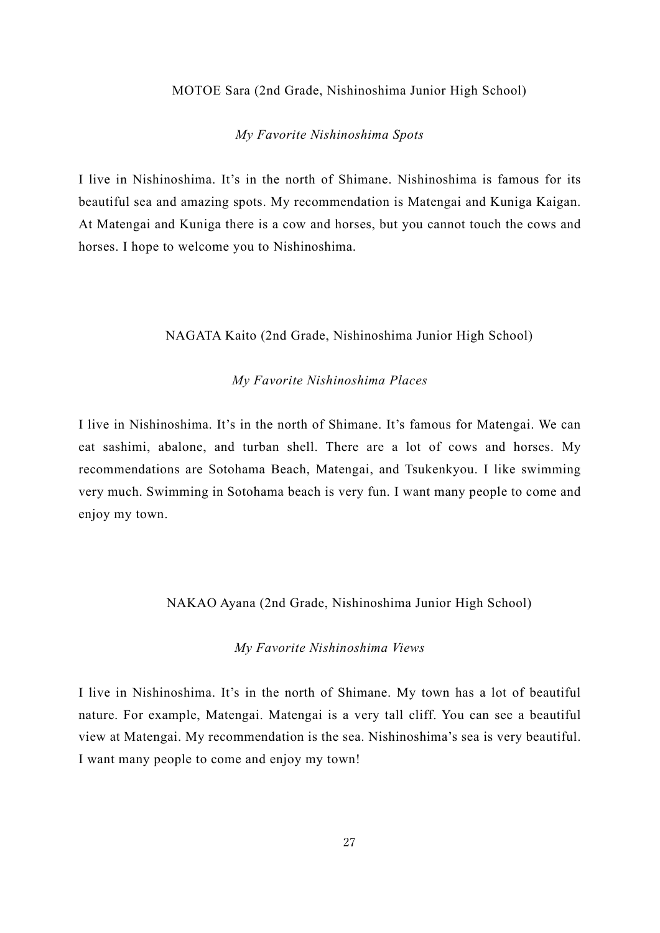#### MOTOE Sara (2nd Grade, Nishinoshima Junior High School)

#### *My Favorite Nishinoshima Spots*

<span id="page-26-0"></span>I live in Nishinoshima. It's in the north of Shimane. Nishinoshima is famous for its beautiful sea and amazing spots. My recommendation is Matengai and Kuniga Kaigan. At Matengai and Kuniga there is a cow and horses, but you cannot touch the cows and horses. I hope to welcome you to Nishinoshima.

#### <span id="page-26-1"></span>NAGATA Kaito (2nd Grade, Nishinoshima Junior High School)

## *My Favorite Nishinoshima Places*

I live in Nishinoshima. It's in the north of Shimane. It's famous for Matengai. We can eat sashimi, abalone, and turban shell. There are a lot of cows and horses. My recommendations are Sotohama Beach, Matengai, and Tsukenkyou. I like swimming very much. Swimming in Sotohama beach is very fun. I want many people to come and enjoy my town.

#### <span id="page-26-2"></span>NAKAO Ayana (2nd Grade, Nishinoshima Junior High School)

## *My Favorite Nishinoshima Views*

I live in Nishinoshima. It's in the north of Shimane. My town has a lot of beautiful nature. For example, Matengai. Matengai is a very tall cliff. You can see a beautiful view at Matengai. My recommendation is the sea. Nishinoshima's sea is very beautiful. I want many people to come and enjoy my town!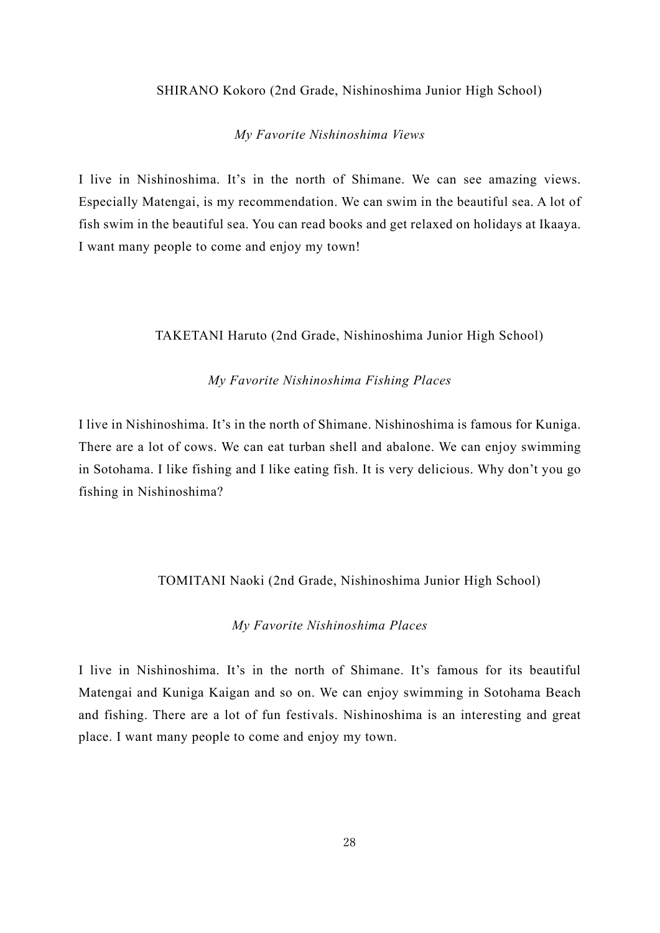## <span id="page-27-0"></span>SHIRANO Kokoro (2nd Grade, Nishinoshima Junior High School)

#### *My Favorite Nishinoshima Views*

I live in Nishinoshima. It's in the north of Shimane. We can see amazing views. Especially Matengai, is my recommendation. We can swim in the beautiful sea. A lot of fish swim in the beautiful sea. You can read books and get relaxed on holidays at Ikaaya. I want many people to come and enjoy my town!

#### <span id="page-27-1"></span>TAKETANI Haruto (2nd Grade, Nishinoshima Junior High School)

#### *My Favorite Nishinoshima Fishing Places*

I live in Nishinoshima. It's in the north of Shimane. Nishinoshima is famous for Kuniga. There are a lot of cows. We can eat turban shell and abalone. We can enjoy swimming in Sotohama. I like fishing and I like eating fish. It is very delicious. Why don't you go fishing in Nishinoshima?

#### <span id="page-27-2"></span>TOMITANI Naoki (2nd Grade, Nishinoshima Junior High School)

#### *My Favorite Nishinoshima Places*

I live in Nishinoshima. It's in the north of Shimane. It's famous for its beautiful Matengai and Kuniga Kaigan and so on. We can enjoy swimming in Sotohama Beach and fishing. There are a lot of fun festivals. Nishinoshima is an interesting and great place. I want many people to come and enjoy my town.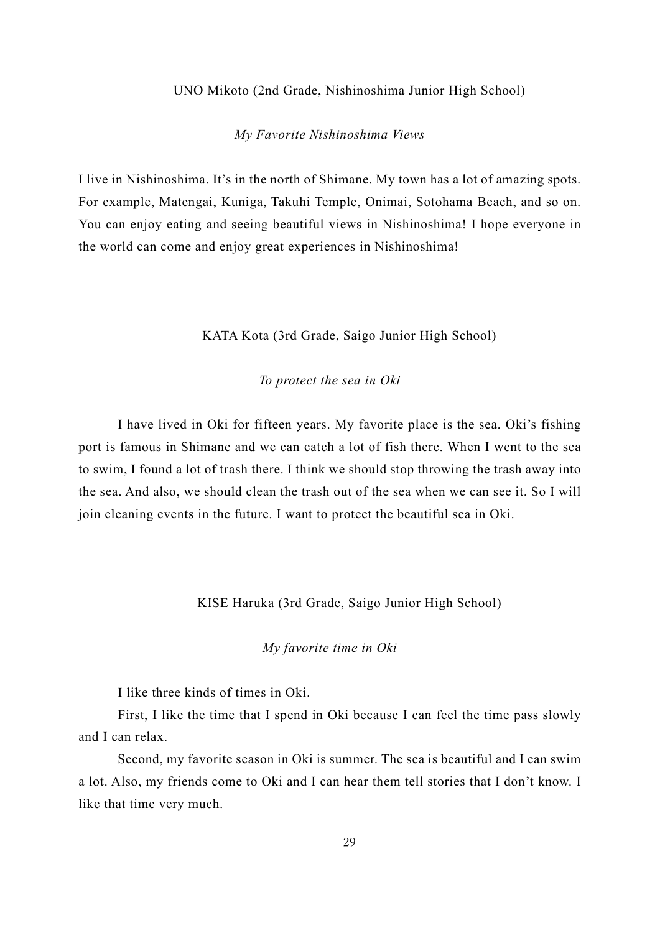#### UNO Mikoto (2nd Grade, Nishinoshima Junior High School)

#### *My Favorite Nishinoshima Views*

<span id="page-28-0"></span>I live in Nishinoshima. It's in the north of Shimane. My town has a lot of amazing spots. For example, Matengai, Kuniga, Takuhi Temple, Onimai, Sotohama Beach, and so on. You can enjoy eating and seeing beautiful views in Nishinoshima! I hope everyone in the world can come and enjoy great experiences in Nishinoshima!

KATA Kota (3rd Grade, Saigo Junior High School)

#### *To protect the sea in Oki*

<span id="page-28-1"></span>I have lived in Oki for fifteen years. My favorite place is the sea. Oki's fishing port is famous in Shimane and we can catch a lot of fish there. When I went to the sea to swim, I found a lot of trash there. I think we should stop throwing the trash away into the sea. And also, we should clean the trash out of the sea when we can see it. So I will join cleaning events in the future. I want to protect the beautiful sea in Oki.

#### KISE Haruka (3rd Grade, Saigo Junior High School)

*My favorite time in Oki*

<span id="page-28-2"></span>I like three kinds of times in Oki.

First, I like the time that I spend in Oki because I can feel the time pass slowly and I can relax.

Second, my favorite season in Oki is summer. The sea is beautiful and I can swim a lot. Also, my friends come to Oki and I can hear them tell stories that I don't know. I like that time very much.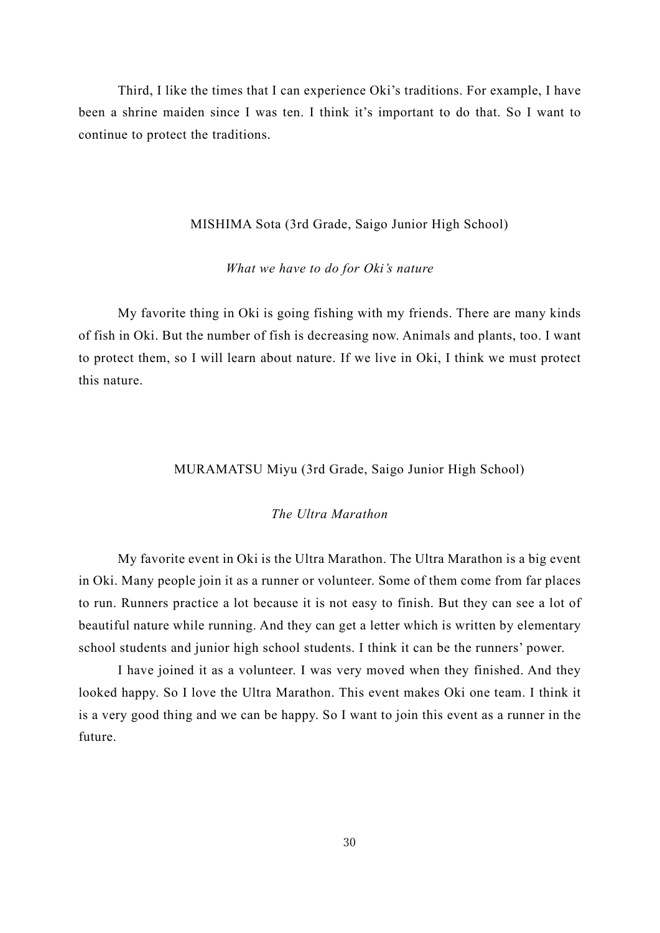Third, I like the times that I can experience Oki's traditions. For example, I have been a shrine maiden since I was ten. I think it's important to do that. So I want to continue to protect the traditions.

#### MISHIMA Sota (3rd Grade, Saigo Junior High School)

#### *What we have to do for Oki's nature*

<span id="page-29-0"></span>My favorite thing in Oki is going fishing with my friends. There are many kinds of fish in Oki. But the number of fish is decreasing now. Animals and plants, too. I want to protect them, so I will learn about nature. If we live in Oki, I think we must protect this nature.

#### MURAMATSU Miyu (3rd Grade, Saigo Junior High School)

#### *The Ultra Marathon*

<span id="page-29-1"></span>My favorite event in Oki is the Ultra Marathon. The Ultra Marathon is a big event in Oki. Many people join it as a runner or volunteer. Some of them come from far places to run. Runners practice a lot because it is not easy to finish. But they can see a lot of beautiful nature while running. And they can get a letter which is written by elementary school students and junior high school students. I think it can be the runners' power.

I have joined it as a volunteer. I was very moved when they finished. And they looked happy. So I love the Ultra Marathon. This event makes Oki one team. I think it is a very good thing and we can be happy. So I want to join this event as a runner in the future.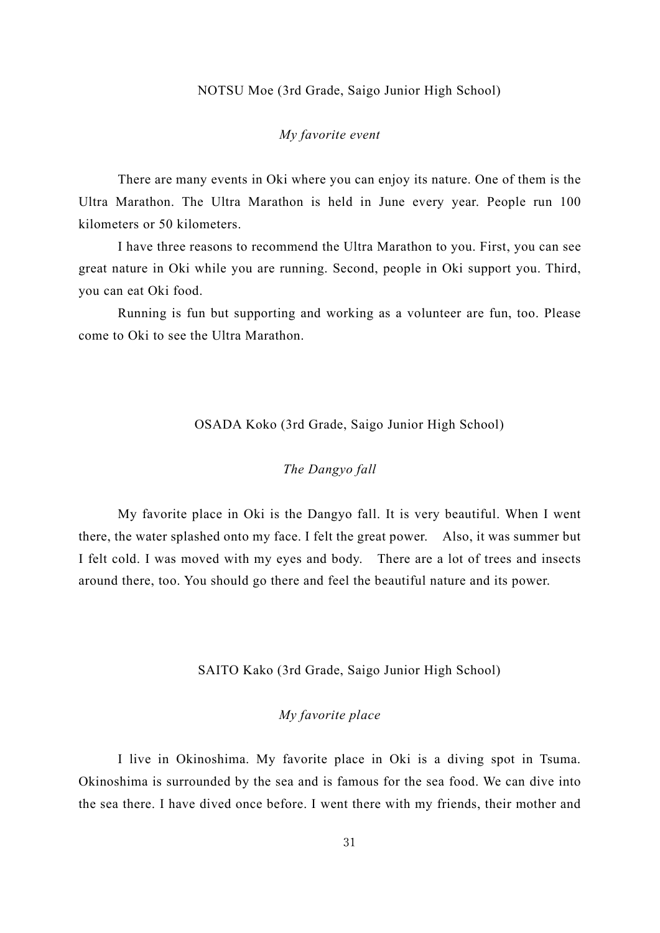#### NOTSU Moe (3rd Grade, Saigo Junior High School)

## *My favorite event*

<span id="page-30-0"></span>There are many events in Oki where you can enjoy its nature. One of them is the Ultra Marathon. The Ultra Marathon is held in June every year. People run 100 kilometers or 50 kilometers.

I have three reasons to recommend the Ultra Marathon to you. First, you can see great nature in Oki while you are running. Second, people in Oki support you. Third, you can eat Oki food.

Running is fun but supporting and working as a volunteer are fun, too. Please come to Oki to see the Ultra Marathon.

#### OSADA Koko (3rd Grade, Saigo Junior High School)

## *The Dangyo fall*

<span id="page-30-1"></span>My favorite place in Oki is the Dangyo fall. It is very beautiful. When I went there, the water splashed onto my face. I felt the great power. Also, it was summer but I felt cold. I was moved with my eyes and body. There are a lot of trees and insects around there, too. You should go there and feel the beautiful nature and its power.

#### SAITO Kako (3rd Grade, Saigo Junior High School)

## *My favorite place*

<span id="page-30-2"></span>I live in Okinoshima. My favorite place in Oki is a diving spot in Tsuma. Okinoshima is surrounded by the sea and is famous for the sea food. We can dive into the sea there. I have dived once before. I went there with my friends, their mother and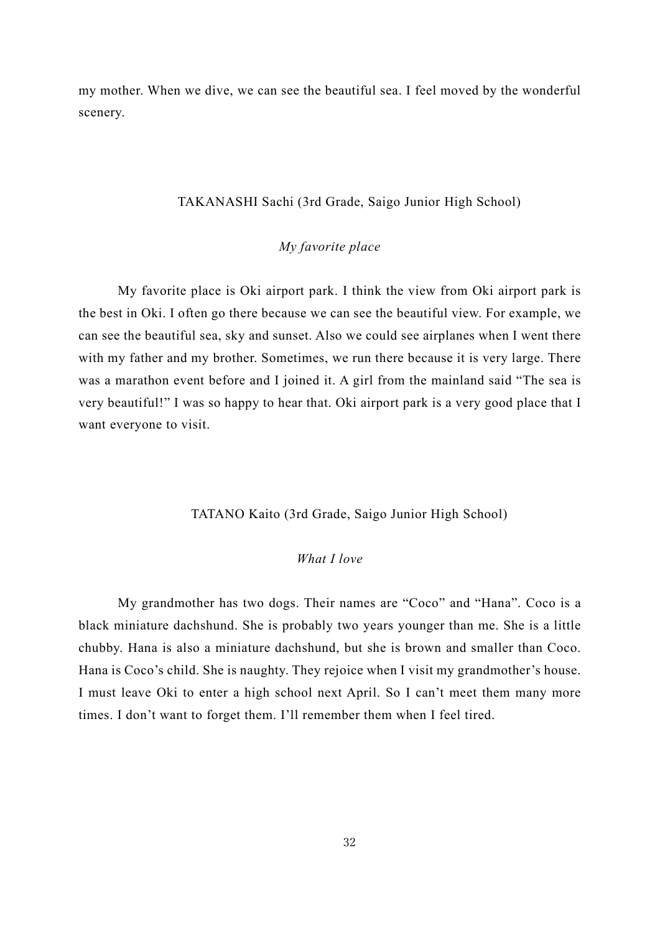my mother. When we dive, we can see the beautiful sea. I feel moved by the wonderful scenery.

## TAKANASHI Sachi (3rd Grade, Saigo Junior High School)

## *My favorite place*

<span id="page-31-0"></span>My favorite place is Oki airport park. I think the view from Oki airport park is the best in Oki. I often go there because we can see the beautiful view. For example, we can see the beautiful sea, sky and sunset. Also we could see airplanes when I went there with my father and my brother. Sometimes, we run there because it is very large. There was a marathon event before and I joined it. A girl from the mainland said "The sea is very beautiful!" I was so happy to hear that. Oki airport park is a very good place that I want everyone to visit.

#### TATANO Kaito (3rd Grade, Saigo Junior High School)

## *What I love*

<span id="page-31-1"></span>My grandmother has two dogs. Their names are "Coco" and "Hana". Coco is a black miniature dachshund. She is probably two years younger than me. She is a little chubby. Hana is also a miniature dachshund, but she is brown and smaller than Coco. Hana is Coco's child. She is naughty. They rejoice when I visit my grandmother's house. I must leave Oki to enter a high school next April. So I can't meet them many more times. I don't want to forget them. I'll remember them when I feel tired.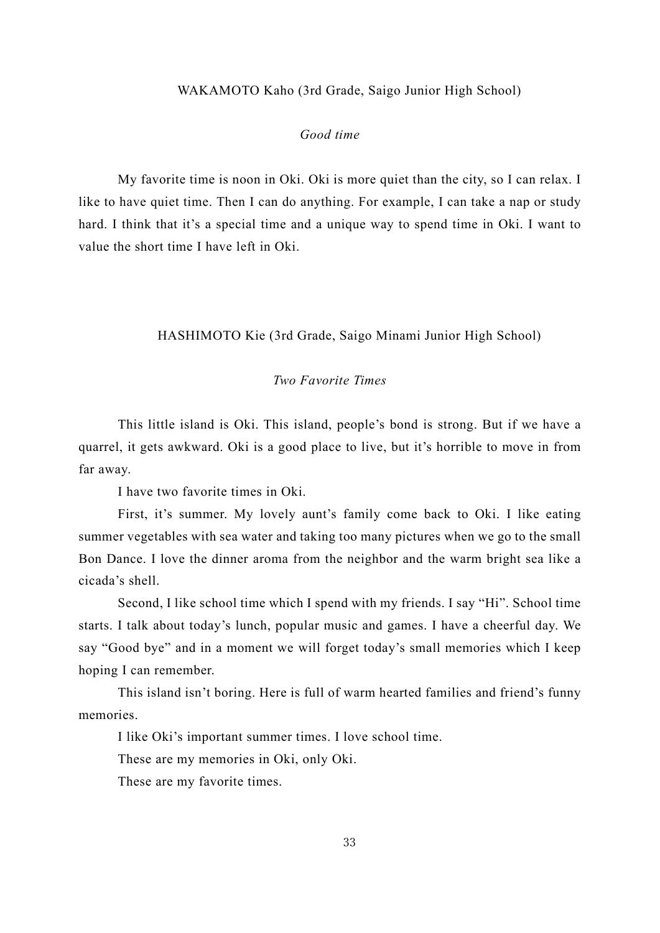#### WAKAMOTO Kaho (3rd Grade, Saigo Junior High School)

#### *Good time*

<span id="page-32-0"></span>My favorite time is noon in Oki. Oki is more quiet than the city, so I can relax. I like to have quiet time. Then I can do anything. For example, I can take a nap or study hard. I think that it's a special time and a unique way to spend time in Oki. I want to value the short time I have left in Oki.

## <span id="page-32-1"></span>HASHIMOTO Kie (3rd Grade, Saigo Minami Junior High School)

## *Two Favorite Times*

This little island is Oki. This island, people's bond is strong. But if we have a quarrel, it gets awkward. Oki is a good place to live, but it's horrible to move in from far away.

I have two favorite times in Oki.

First, it's summer. My lovely aunt's family come back to Oki. I like eating summer vegetables with sea water and taking too many pictures when we go to the small Bon Dance. I love the dinner aroma from the neighbor and the warm bright sea like a cicada's shell.

Second, I like school time which I spend with my friends. I say "Hi". School time starts. I talk about today's lunch, popular music and games. I have a cheerful day. We say "Good bye" and in a moment we will forget today's small memories which I keep hoping I can remember.

This island isn't boring. Here is full of warm hearted families and friend's funny memories.

I like Oki's important summer times. I love school time.

These are my memories in Oki, only Oki.

These are my favorite times.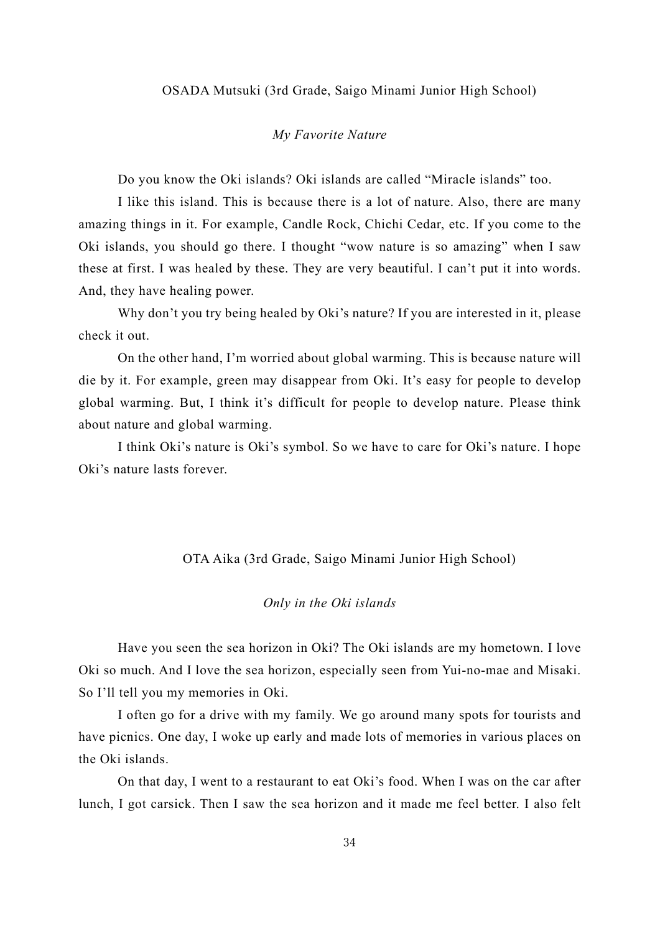#### <span id="page-33-0"></span>OSADA Mutsuki (3rd Grade, Saigo Minami Junior High School)

#### *My Favorite Nature*

Do you know the Oki islands? Oki islands are called "Miracle islands" too.

I like this island. This is because there is a lot of nature. Also, there are many amazing things in it. For example, Candle Rock, Chichi Cedar, etc. If you come to the Oki islands, you should go there. I thought "wow nature is so amazing" when I saw these at first. I was healed by these. They are very beautiful. I can't put it into words. And, they have healing power.

Why don't you try being healed by Oki's nature? If you are interested in it, please check it out.

On the other hand, I'm worried about global warming. This is because nature will die by it. For example, green may disappear from Oki. It's easy for people to develop global warming. But, I think it's difficult for people to develop nature. Please think about nature and global warming.

I think Oki's nature is Oki's symbol. So we have to care for Oki's nature. I hope Oki's nature lasts forever.

#### OTA Aika (3rd Grade, Saigo Minami Junior High School)

#### *Only in the Oki islands*

<span id="page-33-1"></span>Have you seen the sea horizon in Oki? The Oki islands are my hometown. I love Oki so much. And I love the sea horizon, especially seen from Yui-no-mae and Misaki. So I'll tell you my memories in Oki.

I often go for a drive with my family. We go around many spots for tourists and have picnics. One day, I woke up early and made lots of memories in various places on the Oki islands.

On that day, I went to a restaurant to eat Oki's food. When I was on the car after lunch, I got carsick. Then I saw the sea horizon and it made me feel better. I also felt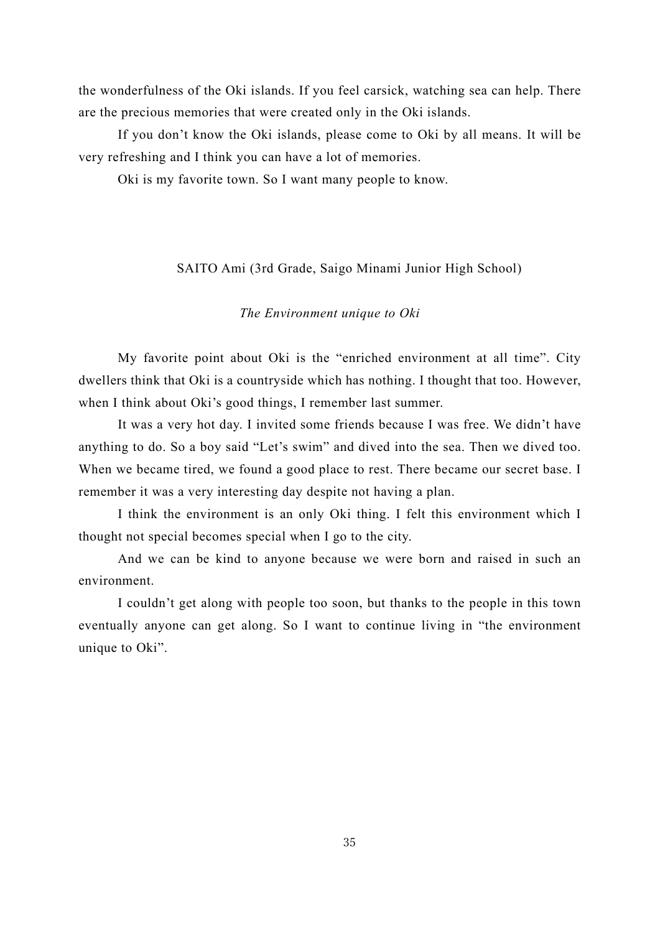the wonderfulness of the Oki islands. If you feel carsick, watching sea can help. There are the precious memories that were created only in the Oki islands.

If you don't know the Oki islands, please come to Oki by all means. It will be very refreshing and I think you can have a lot of memories.

<span id="page-34-0"></span>Oki is my favorite town. So I want many people to know.

#### SAITO Ami (3rd Grade, Saigo Minami Junior High School)

#### *The Environment unique to Oki*

My favorite point about Oki is the "enriched environment at all time". City dwellers think that Oki is a countryside which has nothing. I thought that too. However, when I think about Oki's good things, I remember last summer.

It was a very hot day. I invited some friends because I was free. We didn't have anything to do. So a boy said "Let's swim" and dived into the sea. Then we dived too. When we became tired, we found a good place to rest. There became our secret base. I remember it was a very interesting day despite not having a plan.

I think the environment is an only Oki thing. I felt this environment which I thought not special becomes special when I go to the city.

And we can be kind to anyone because we were born and raised in such an environment.

I couldn't get along with people too soon, but thanks to the people in this town eventually anyone can get along. So I want to continue living in "the environment unique to Oki".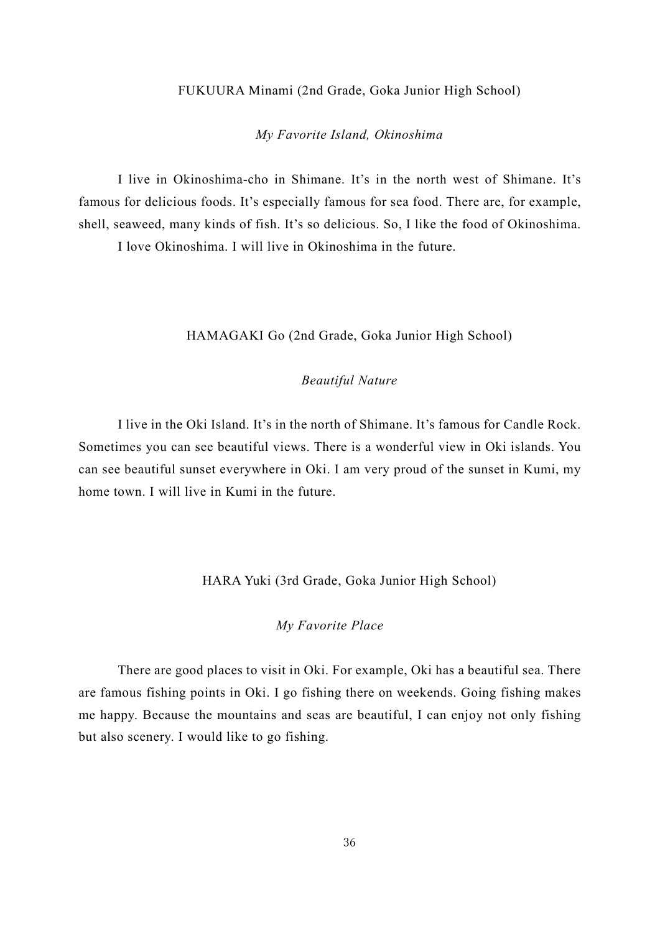#### FUKUURA Minami (2nd Grade, Goka Junior High School)

#### *My Favorite Island, Okinoshima*

<span id="page-35-0"></span>I live in Okinoshima-cho in Shimane. It's in the north west of Shimane. It's famous for delicious foods. It's especially famous for sea food. There are, for example, shell, seaweed, many kinds of fish. It's so delicious. So, I like the food of Okinoshima.

<span id="page-35-1"></span>I love Okinoshima. I will live in Okinoshima in the future.

## HAMAGAKI Go (2nd Grade, Goka Junior High School)

## *Beautiful Nature*

I live in the Oki Island. It's in the north of Shimane. It's famous for Candle Rock. Sometimes you can see beautiful views. There is a wonderful view in Oki islands. You can see beautiful sunset everywhere in Oki. I am very proud of the sunset in Kumi, my home town. I will live in Kumi in the future.

HARA Yuki (3rd Grade, Goka Junior High School)

## *My Favorite Place*

<span id="page-35-2"></span>There are good places to visit in Oki. For example, Oki has a beautiful sea. There are famous fishing points in Oki. I go fishing there on weekends. Going fishing makes me happy. Because the mountains and seas are beautiful, I can enjoy not only fishing but also scenery. I would like to go fishing.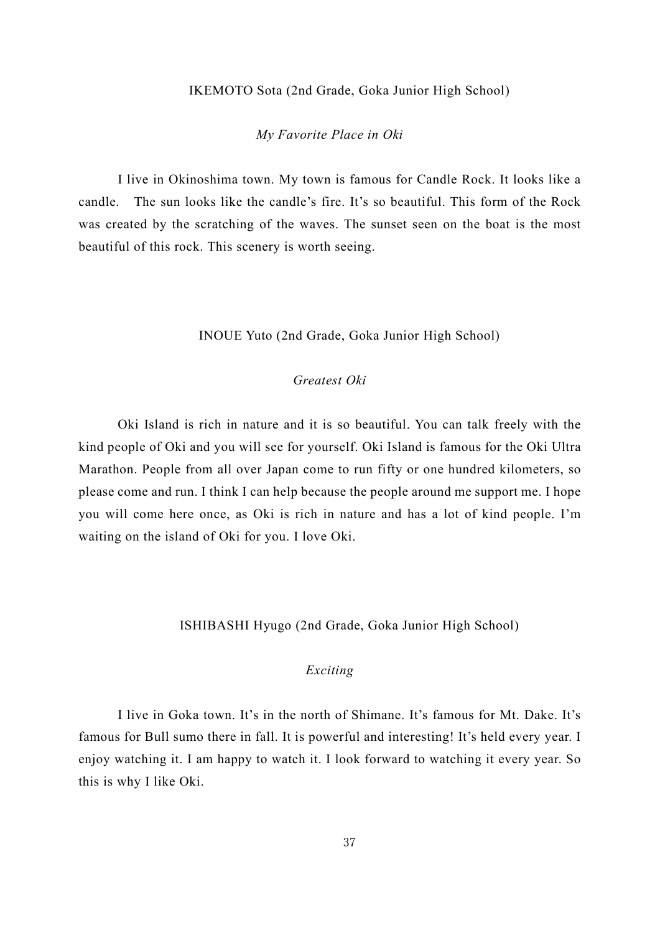#### IKEMOTO Sota (2nd Grade, Goka Junior High School)

#### *My Favorite Place in Oki*

<span id="page-36-0"></span>I live in Okinoshima town. My town is famous for Candle Rock. It looks like a candle. The sun looks like the candle's fire. It's so beautiful. This form of the Rock was created by the scratching of the waves. The sunset seen on the boat is the most beautiful of this rock. This scenery is worth seeing.

#### INOUE Yuto (2nd Grade, Goka Junior High School)

## *Greatest Oki*

<span id="page-36-1"></span>Oki Island is rich in nature and it is so beautiful. You can talk freely with the kind people of Oki and you will see for yourself. Oki Island is famous for the Oki Ultra Marathon. People from all over Japan come to run fifty or one hundred kilometers, so please come and run. I think I can help because the people around me support me. I hope you will come here once, as Oki is rich in nature and has a lot of kind people. I'm waiting on the island of Oki for you. I love Oki.

#### ISHIBASHI Hyugo (2nd Grade, Goka Junior High School)

#### *Exciting*

<span id="page-36-2"></span>I live in Goka town. It's in the north of Shimane. It's famous for Mt. Dake. It's famous for Bull sumo there in fall. It is powerful and interesting! It's held every year. I enjoy watching it. I am happy to watch it. I look forward to watching it every year. So this is why I like Oki.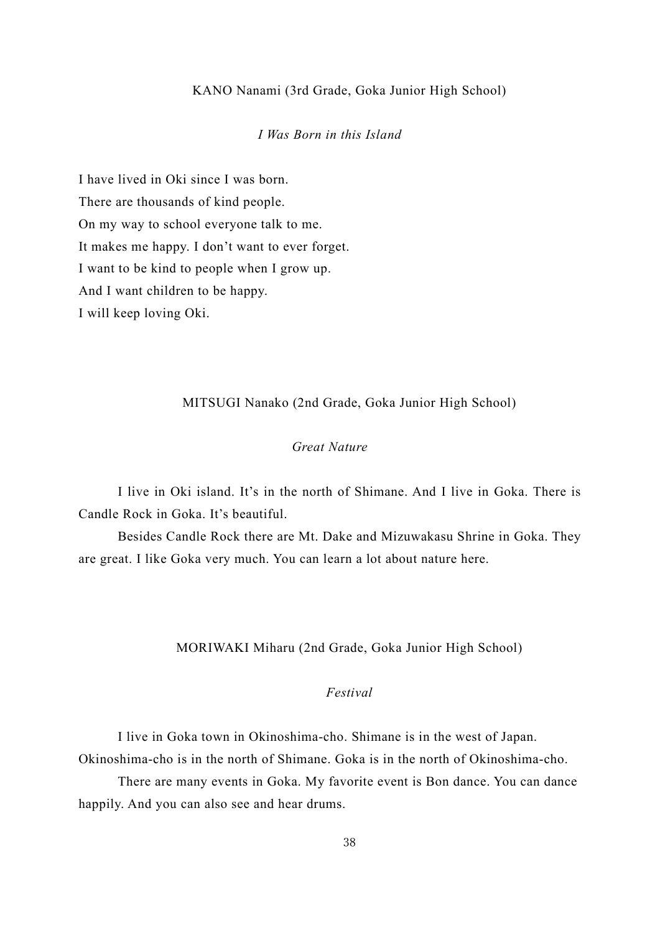#### KANO Nanami (3rd Grade, Goka Junior High School)

## *I Was Born in this Island*

<span id="page-37-0"></span>I have lived in Oki since I was born. There are thousands of kind people. On my way to school everyone talk to me. It makes me happy. I don't want to ever forget. I want to be kind to people when I grow up. And I want children to be happy. I will keep loving Oki.

#### MITSUGI Nanako (2nd Grade, Goka Junior High School)

## *Great Nature*

<span id="page-37-1"></span>I live in Oki island. It's in the north of Shimane. And I live in Goka. There is Candle Rock in Goka. It's beautiful.

Besides Candle Rock there are Mt. Dake and Mizuwakasu Shrine in Goka. They are great. I like Goka very much. You can learn a lot about nature here.

## MORIWAKI Miharu (2nd Grade, Goka Junior High School)

## *Festival*

<span id="page-37-2"></span>I live in Goka town in Okinoshima-cho. Shimane is in the west of Japan. Okinoshima-cho is in the north of Shimane. Goka is in the north of Okinoshima-cho.

There are many events in Goka. My favorite event is Bon dance. You can dance happily. And you can also see and hear drums.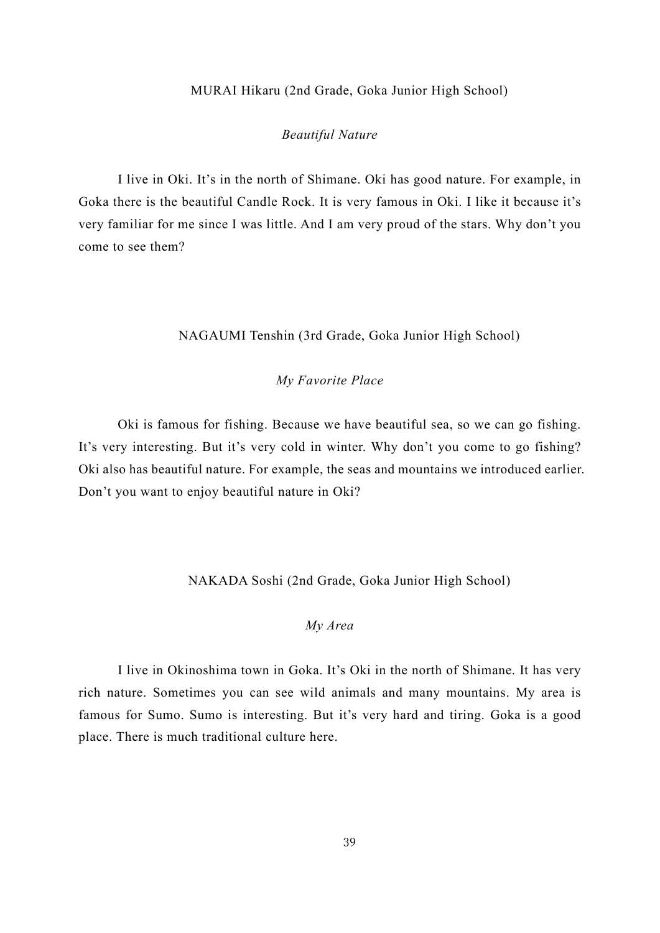#### MURAI Hikaru (2nd Grade, Goka Junior High School)

#### *Beautiful Nature*

<span id="page-38-0"></span>I live in Oki. It's in the north of Shimane. Oki has good nature. For example, in Goka there is the beautiful Candle Rock. It is very famous in Oki. I like it because it's very familiar for me since I was little. And I am very proud of the stars. Why don't you come to see them?

## NAGAUMI Tenshin (3rd Grade, Goka Junior High School)

#### *My Favorite Place*

<span id="page-38-1"></span>Oki is famous for fishing. Because we have beautiful sea, so we can go fishing. It's very interesting. But it's very cold in winter. Why don't you come to go fishing? Oki also has beautiful nature. For example, the seas and mountains we introduced earlier. Don't you want to enjoy beautiful nature in Oki?

NAKADA Soshi (2nd Grade, Goka Junior High School)

## *My Area*

<span id="page-38-2"></span>I live in Okinoshima town in Goka. It's Oki in the north of Shimane. It has very rich nature. Sometimes you can see wild animals and many mountains. My area is famous for Sumo. Sumo is interesting. But it's very hard and tiring. Goka is a good place. There is much traditional culture here.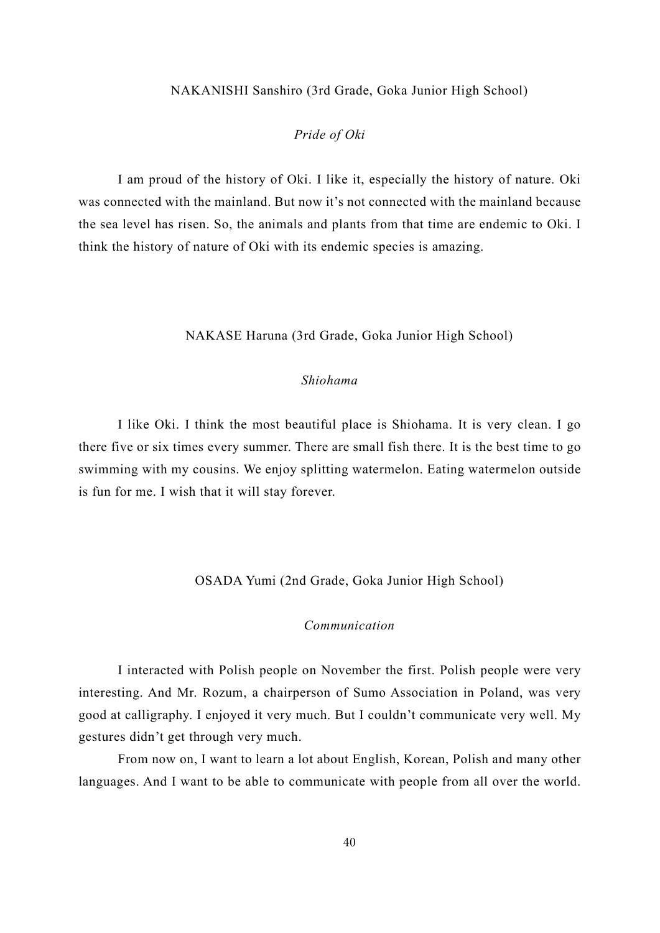#### <span id="page-39-0"></span>NAKANISHI Sanshiro (3rd Grade, Goka Junior High School)

## *Pride of Oki*

I am proud of the history of Oki. I like it, especially the history of nature. Oki was connected with the mainland. But now it's not connected with the mainland because the sea level has risen. So, the animals and plants from that time are endemic to Oki. I think the history of nature of Oki with its endemic species is amazing.

#### NAKASE Haruna (3rd Grade, Goka Junior High School)

#### *Shiohama*

<span id="page-39-1"></span>I like Oki. I think the most beautiful place is Shiohama. It is very clean. I go there five or six times every summer. There are small fish there. It is the best time to go swimming with my cousins. We enjoy splitting watermelon. Eating watermelon outside is fun for me. I wish that it will stay forever.

OSADA Yumi (2nd Grade, Goka Junior High School)

## *Communication*

<span id="page-39-2"></span>I interacted with Polish people on November the first. Polish people were very interesting. And Mr. Rozum, a chairperson of Sumo Association in Poland, was very good at calligraphy. I enjoyed it very much. But I couldn't communicate very well. My gestures didn't get through very much.

From now on, I want to learn a lot about English, Korean, Polish and many other languages. And I want to be able to communicate with people from all over the world.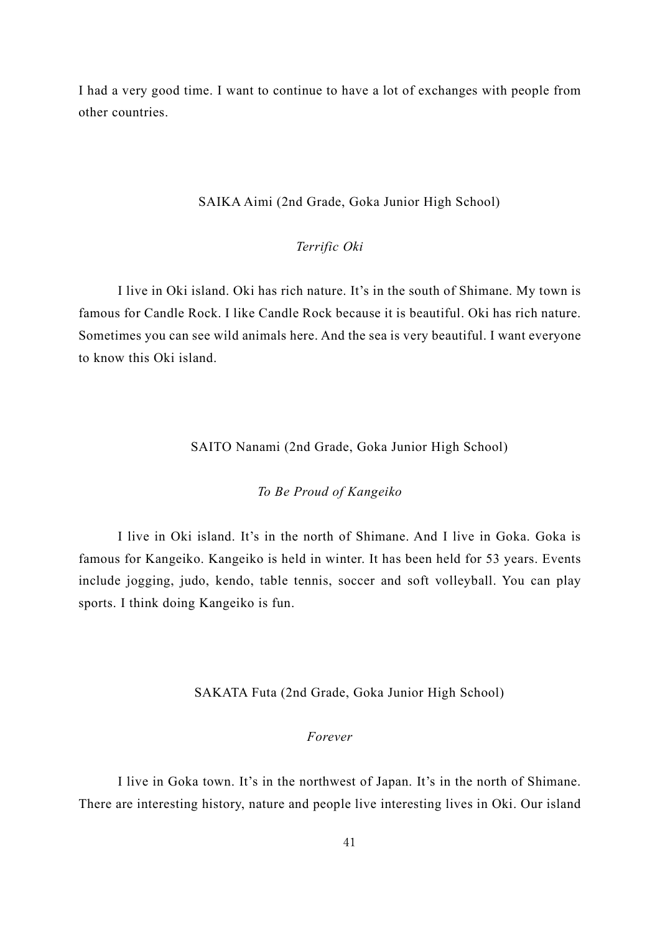I had a very good time. I want to continue to have a lot of exchanges with people from other countries.

## SAIKA Aimi (2nd Grade, Goka Junior High School)

## *Terrific Oki*

<span id="page-40-0"></span>I live in Oki island. Oki has rich nature. It's in the south of Shimane. My town is famous for Candle Rock. I like Candle Rock because it is beautiful. Oki has rich nature. Sometimes you can see wild animals here. And the sea is very beautiful. I want everyone to know this Oki island.

## SAITO Nanami (2nd Grade, Goka Junior High School)

## *To Be Proud of Kangeiko*

<span id="page-40-1"></span>I live in Oki island. It's in the north of Shimane. And I live in Goka. Goka is famous for Kangeiko. Kangeiko is held in winter. It has been held for 53 years. Events include jogging, judo, kendo, table tennis, soccer and soft volleyball. You can play sports. I think doing Kangeiko is fun.

#### SAKATA Futa (2nd Grade, Goka Junior High School)

#### *Forever*

<span id="page-40-2"></span>I live in Goka town. It's in the northwest of Japan. It's in the north of Shimane. There are interesting history, nature and people live interesting lives in Oki. Our island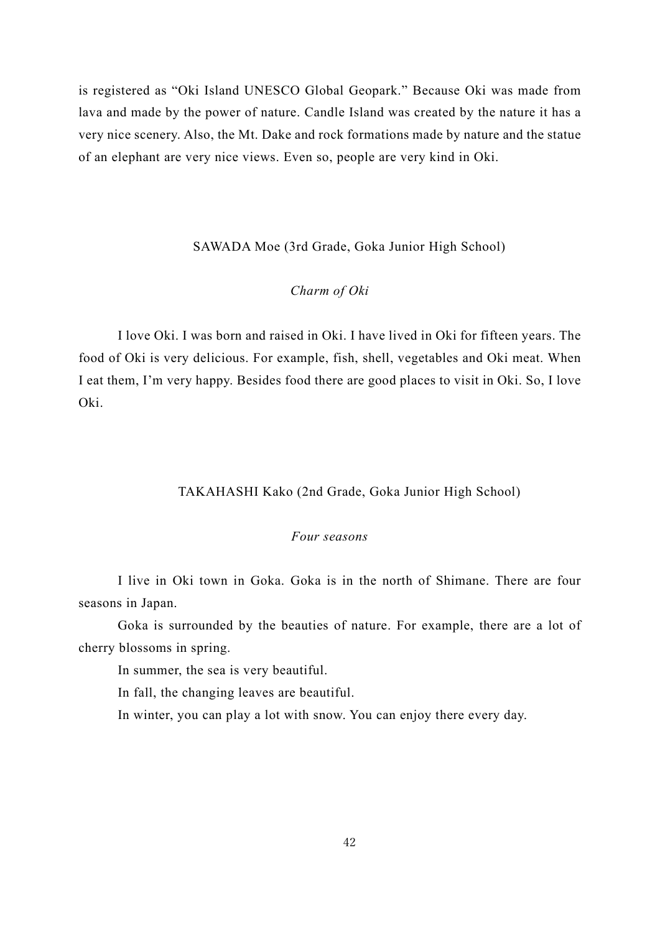is registered as "Oki Island UNESCO Global Geopark." Because Oki was made from lava and made by the power of nature. Candle Island was created by the nature it has a very nice scenery. Also, the Mt. Dake and rock formations made by nature and the statue of an elephant are very nice views. Even so, people are very kind in Oki.

#### SAWADA Moe (3rd Grade, Goka Junior High School)

## *Charm of Oki*

<span id="page-41-0"></span>I love Oki. I was born and raised in Oki. I have lived in Oki for fifteen years. The food of Oki is very delicious. For example, fish, shell, vegetables and Oki meat. When I eat them, I'm very happy. Besides food there are good places to visit in Oki. So, I love Oki.

## TAKAHASHI Kako (2nd Grade, Goka Junior High School)

#### *Four seasons*

<span id="page-41-1"></span>I live in Oki town in Goka. Goka is in the north of Shimane. There are four seasons in Japan.

Goka is surrounded by the beauties of nature. For example, there are a lot of cherry blossoms in spring.

In summer, the sea is very beautiful.

In fall, the changing leaves are beautiful.

In winter, you can play a lot with snow. You can enjoy there every day.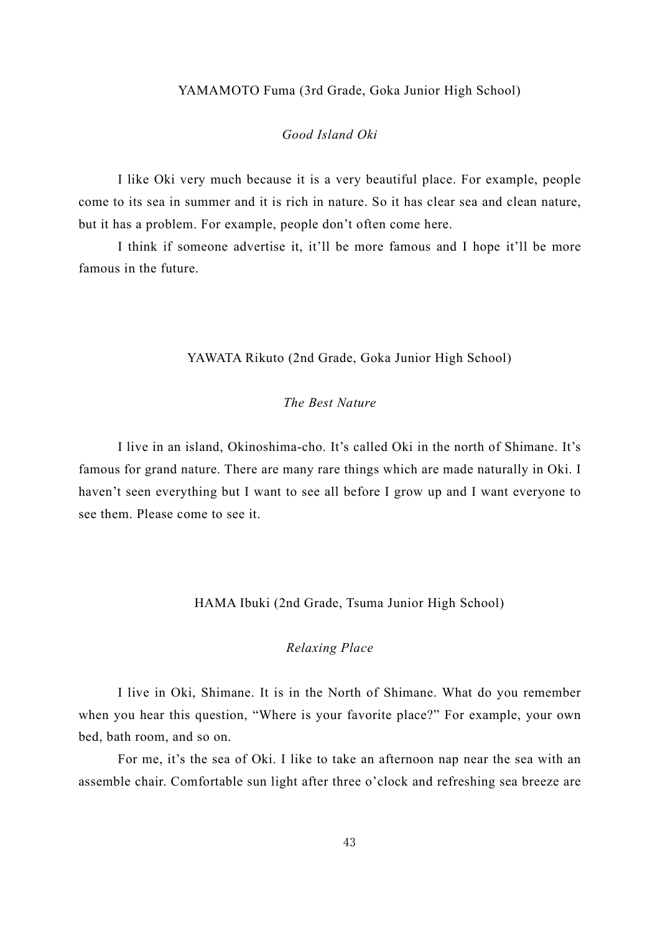#### YAMAMOTO Fuma (3rd Grade, Goka Junior High School)

## *Good Island Oki*

<span id="page-42-0"></span>I like Oki very much because it is a very beautiful place. For example, people come to its sea in summer and it is rich in nature. So it has clear sea and clean nature, but it has a problem. For example, people don't often come here.

I think if someone advertise it, it'll be more famous and I hope it'll be more famous in the future.

#### YAWATA Rikuto (2nd Grade, Goka Junior High School)

## *The Best Nature*

<span id="page-42-1"></span>I live in an island, Okinoshima-cho. It's called Oki in the north of Shimane. It's famous for grand nature. There are many rare things which are made naturally in Oki. I haven't seen everything but I want to see all before I grow up and I want everyone to see them. Please come to see it.

#### HAMA Ibuki (2nd Grade, Tsuma Junior High School)

#### *Relaxing Place*

<span id="page-42-2"></span>I live in Oki, Shimane. It is in the North of Shimane. What do you remember when you hear this question, "Where is your favorite place?" For example, your own bed, bath room, and so on.

For me, it's the sea of Oki. I like to take an afternoon nap near the sea with an assemble chair. Comfortable sun light after three o'clock and refreshing sea breeze are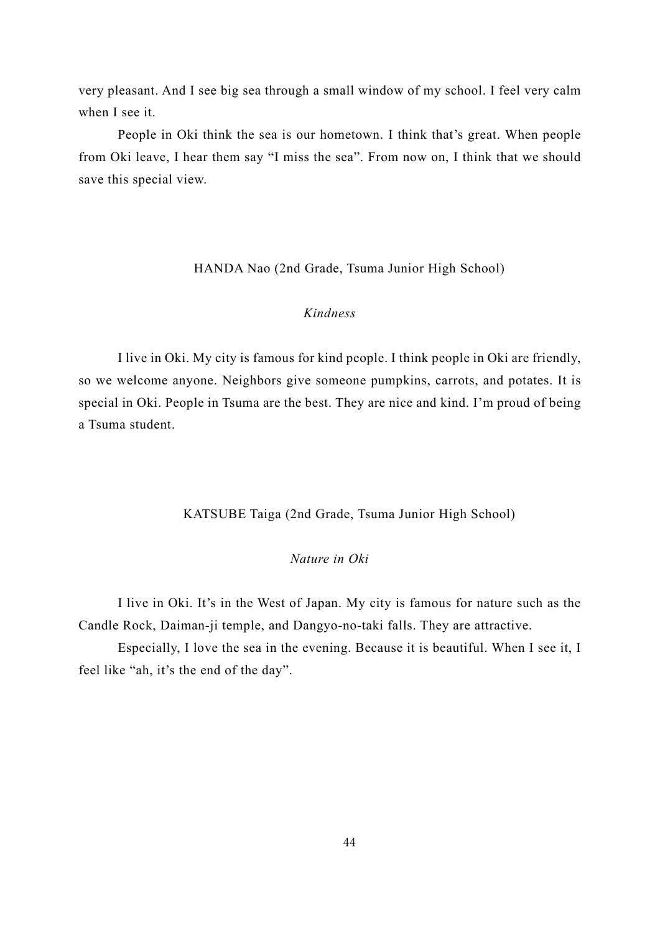very pleasant. And I see big sea through a small window of my school. I feel very calm when I see it.

People in Oki think the sea is our hometown. I think that's great. When people from Oki leave, I hear them say "I miss the sea". From now on, I think that we should save this special view.

HANDA Nao (2nd Grade, Tsuma Junior High School)

## *Kindness*

<span id="page-43-0"></span>I live in Oki. My city is famous for kind people. I think people in Oki are friendly, so we welcome anyone. Neighbors give someone pumpkins, carrots, and potates. It is special in Oki. People in Tsuma are the best. They are nice and kind. I'm proud of being a Tsuma student.

KATSUBE Taiga (2nd Grade, Tsuma Junior High School)

## *Nature in Oki*

<span id="page-43-1"></span>I live in Oki. It's in the West of Japan. My city is famous for nature such as the Candle Rock, Daiman-ji temple, and Dangyo-no-taki falls. They are attractive.

Especially, I love the sea in the evening. Because it is beautiful. When I see it, I feel like "ah, it's the end of the day".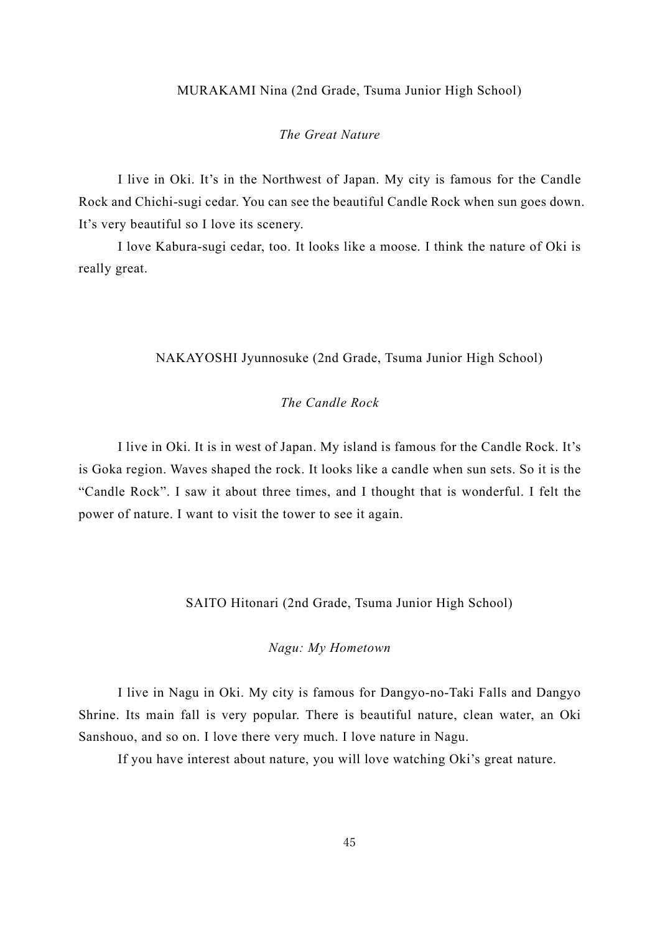#### MURAKAMI Nina (2nd Grade, Tsuma Junior High School)

## *The Great Nature*

<span id="page-44-0"></span>I live in Oki. It's in the Northwest of Japan. My city is famous for the Candle Rock and Chichi-sugi cedar. You can see the beautiful Candle Rock when sun goes down. It's very beautiful so I love its scenery.

I love Kabura-sugi cedar, too. It looks like a moose. I think the nature of Oki is really great.

## <span id="page-44-1"></span>NAKAYOSHI Jyunnosuke (2nd Grade, Tsuma Junior High School)

## *The Candle Rock*

I live in Oki. It is in west of Japan. My island is famous for the Candle Rock. It's is Goka region. Waves shaped the rock. It looks like a candle when sun sets. So it is the "Candle Rock". I saw it about three times, and I thought that is wonderful. I felt the power of nature. I want to visit the tower to see it again.

## SAITO Hitonari (2nd Grade, Tsuma Junior High School)

## *Nagu: My Hometown*

<span id="page-44-2"></span>I live in Nagu in Oki. My city is famous for Dangyo-no-Taki Falls and Dangyo Shrine. Its main fall is very popular. There is beautiful nature, clean water, an Oki Sanshouo, and so on. I love there very much. I love nature in Nagu.

If you have interest about nature, you will love watching Oki's great nature.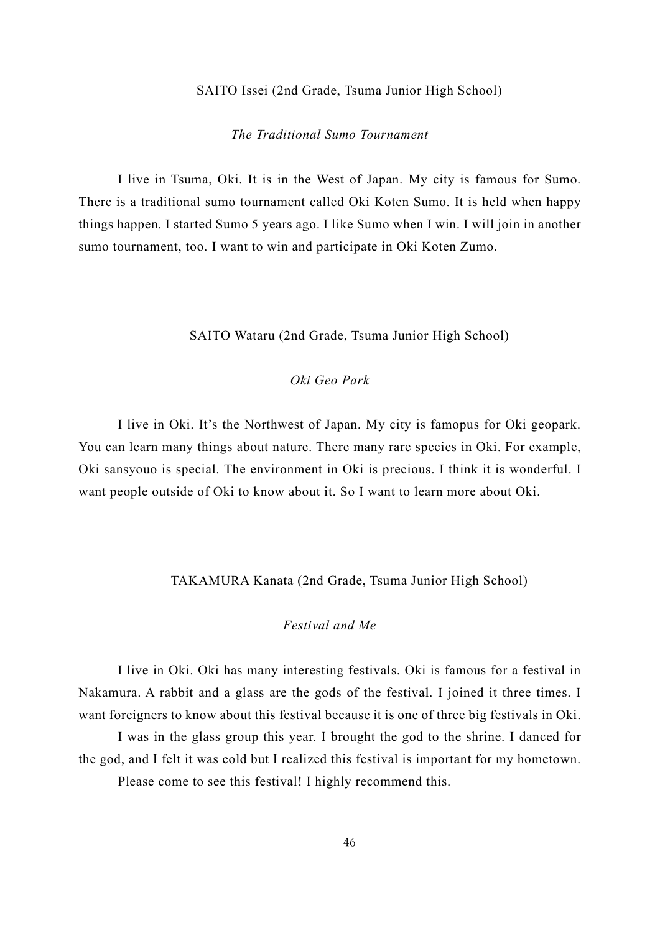#### SAITO Issei (2nd Grade, Tsuma Junior High School)

## *The Traditional Sumo Tournament*

<span id="page-45-0"></span>I live in Tsuma, Oki. It is in the West of Japan. My city is famous for Sumo. There is a traditional sumo tournament called Oki Koten Sumo. It is held when happy things happen. I started Sumo 5 years ago. I like Sumo when I win. I will join in another sumo tournament, too. I want to win and participate in Oki Koten Zumo.

SAITO Wataru (2nd Grade, Tsuma Junior High School)

## *Oki Geo Park*

<span id="page-45-1"></span>I live in Oki. It's the Northwest of Japan. My city is famopus for Oki geopark. You can learn many things about nature. There many rare species in Oki. For example, Oki sansyouo is special. The environment in Oki is precious. I think it is wonderful. I want people outside of Oki to know about it. So I want to learn more about Oki.

<span id="page-45-2"></span>TAKAMURA Kanata (2nd Grade, Tsuma Junior High School)

## *Festival and Me*

I live in Oki. Oki has many interesting festivals. Oki is famous for a festival in Nakamura. A rabbit and a glass are the gods of the festival. I joined it three times. I want foreigners to know about this festival because it is one of three big festivals in Oki.

I was in the glass group this year. I brought the god to the shrine. I danced for the god, and I felt it was cold but I realized this festival is important for my hometown.

Please come to see this festival! I highly recommend this.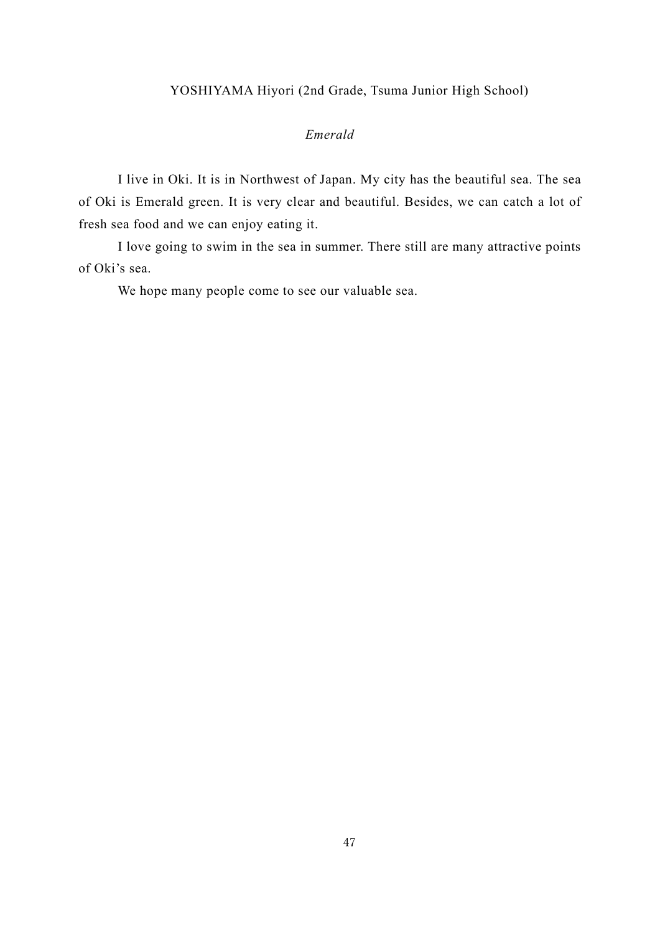## YOSHIYAMA Hiyori (2nd Grade, Tsuma Junior High School)

## *Emerald*

<span id="page-46-0"></span>I live in Oki. It is in Northwest of Japan. My city has the beautiful sea. The sea of Oki is Emerald green. It is very clear and beautiful. Besides, we can catch a lot of fresh sea food and we can enjoy eating it.

I love going to swim in the sea in summer. There still are many attractive points of Oki's sea.

We hope many people come to see our valuable sea.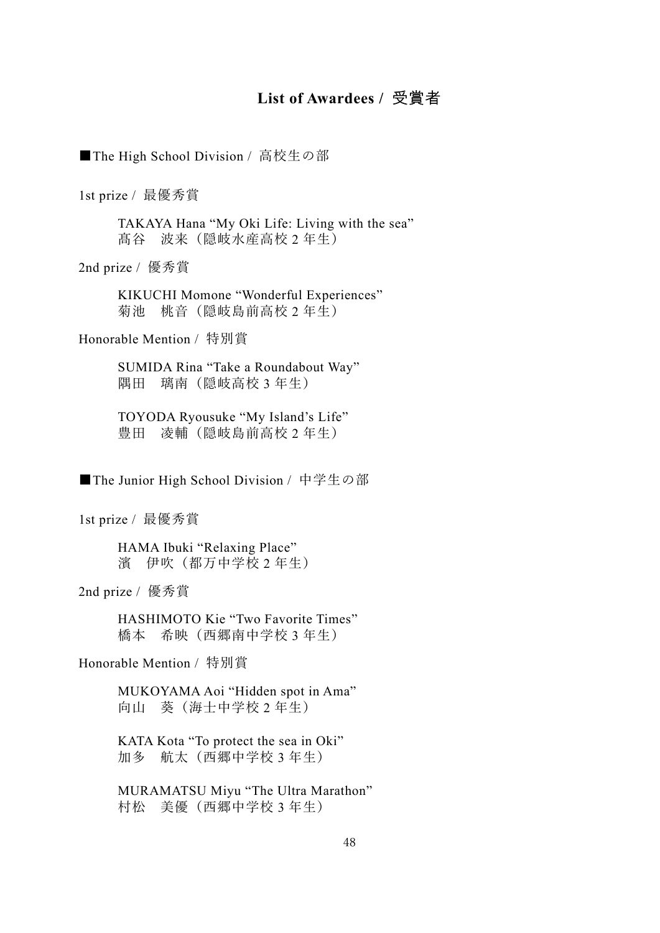## **List of Awardees /** 受賞者

<span id="page-47-0"></span>■The High School Division / 高校生の部

1st prize / 最優秀賞

TAKAYA Hana "My Oki Life: Living with the sea" 髙谷 波来(隠岐水産高校 2 年生)

2nd prize / 優秀賞

KIKUCHI Momone "Wonderful Experiences" 菊池 桃音(隠岐島前高校 2 年生)

Honorable Mention / 特別賞

SUMIDA Rina "Take a Roundabout Way" 隅田 璃南(隠岐高校 3 年生)

TOYODA Ryousuke "My Island's Life" 豊田 凌輔(隠岐島前高校 2 年生)

■The Junior High School Division / 中学生の部

1st prize / 最優秀賞

HAMA Ibuki "Relaxing Place" 濱 伊吹(都万中学校 2 年生)

2nd prize / 優秀賞

HASHIMOTO Kie "Two Favorite Times" 橋本 希映(西郷南中学校 3 年生)

Honorable Mention / 特別賞

MUKOYAMA Aoi "Hidden spot in Ama" 向山 葵(海士中学校 2 年生)

KATA Kota "To protect the sea in Oki" 加多 航太(西郷中学校 3 年生)

MURAMATSU Miyu "The Ultra Marathon" 村松 美優(西郷中学校 3 年生)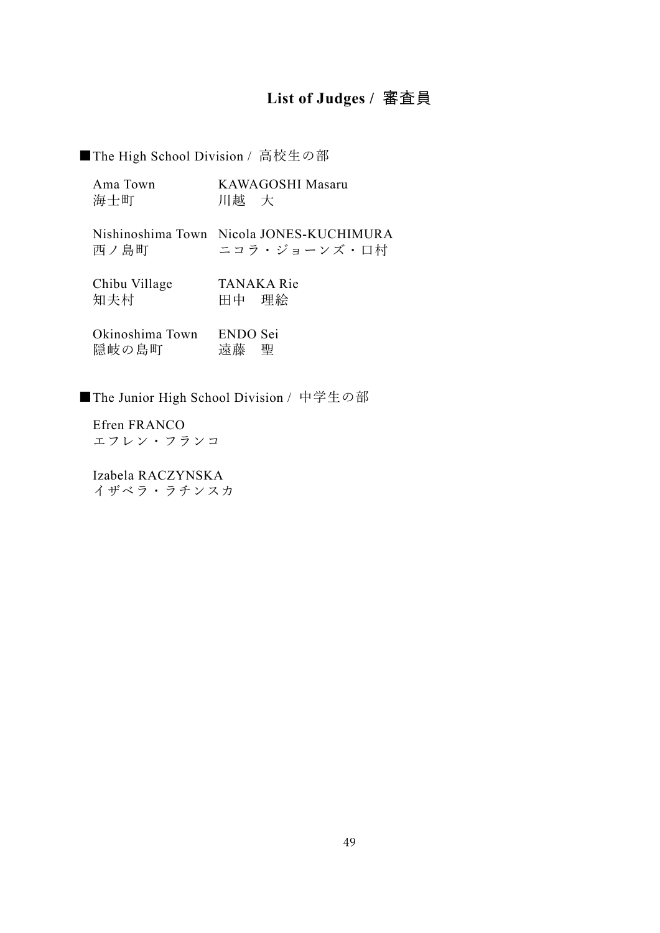## **List of Judges /** 審査員

<span id="page-48-0"></span>■The High School Division / 高校生の部

| Ama Town | KAWAGOSHI Masaru |
|----------|------------------|
| 海士町      | 川越 大             |

|      | Nishinoshima Town Nicola JONES-KUCHIMURA |
|------|------------------------------------------|
| 西ノ島町 | ニコラ・ジョーンズ・口村                             |

| Chibu Village |       | <b>TANAKA Rie</b> |
|---------------|-------|-------------------|
|               |       |                   |
| 知夫村           | 田中 理絵 |                   |

| Okinoshima Town | ENDO Sei |  |
|-----------------|----------|--|
| 隠岐の島町           | 遠藤 聖     |  |

■The Junior High School Division / 中学生の部

Efren FRANCO エコ

Izabela RACZYNSKA イザベラ・ラチンスカ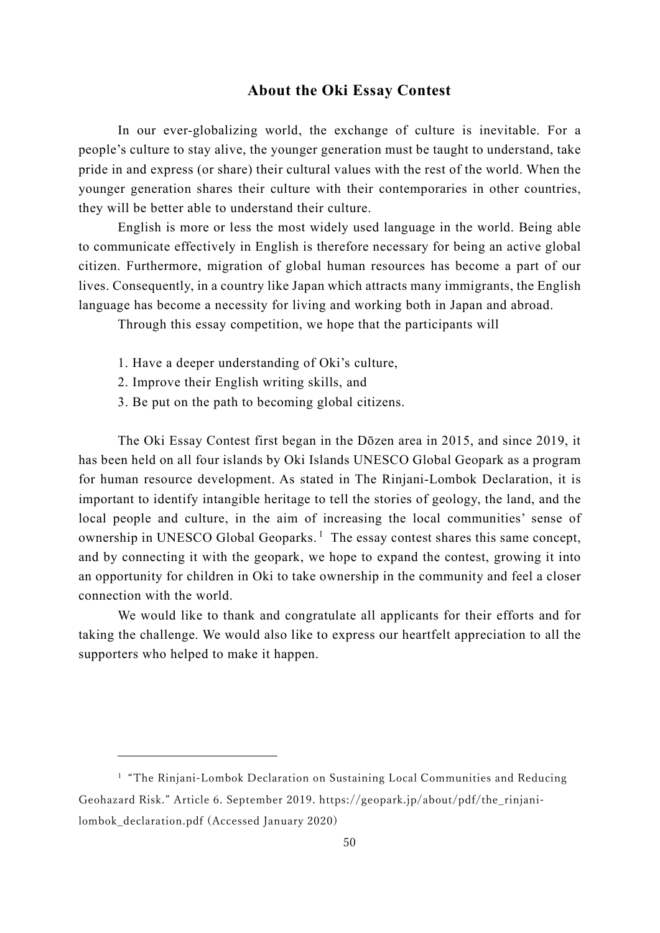## **About the Oki Essay Contest**

<span id="page-49-0"></span>In our ever-globalizing world, the exchange of culture is inevitable. For a people's culture to stay alive, the younger generation must be taught to understand, take pride in and express (or share) their cultural values with the rest of the world. When the younger generation shares their culture with their contemporaries in other countries, they will be better able to understand their culture.

English is more or less the most widely used language in the world. Being able to communicate effectively in English is therefore necessary for being an active global citizen. Furthermore, migration of global human resources has become a part of our lives. Consequently, in a country like Japan which attracts many immigrants, the English language has become a necessity for living and working both in Japan and abroad.

Through this essay competition, we hope that the participants will

- 1. Have a deeper understanding of Oki's culture,
- 2. Improve their English writing skills, and
- 3. Be put on the path to becoming global citizens.

The Oki Essay Contest first began in the Dōzen area in 2015, and since 2019, it has been held on all four islands by Oki Islands UNESCO Global Geopark as a program for human resource development. As stated in The Rinjani-Lombok Declaration, it is important to identify intangible heritage to tell the stories of geology, the land, and the local people and culture, in the aim of increasing the local communities' sense of ownership in UNESCO Global Geoparks.<sup>[1](#page-49-1)</sup> The essay contest shares this same concept, and by connecting it with the geopark, we hope to expand the contest, growing it into an opportunity for children in Oki to take ownership in the community and feel a closer connection with the world.

We would like to thank and congratulate all applicants for their efforts and for taking the challenge. We would also like to express our heartfelt appreciation to all the supporters who helped to make it happen.

<span id="page-49-1"></span><sup>&</sup>lt;sup>1</sup> "The Rinjani-Lombok Declaration on Sustaining Local Communities and Reducing Geohazard Risk." Article 6. September 2019. https://geopark.jp/about/pdf/the\_rinjanilombok declaration.pdf (Accessed January 2020)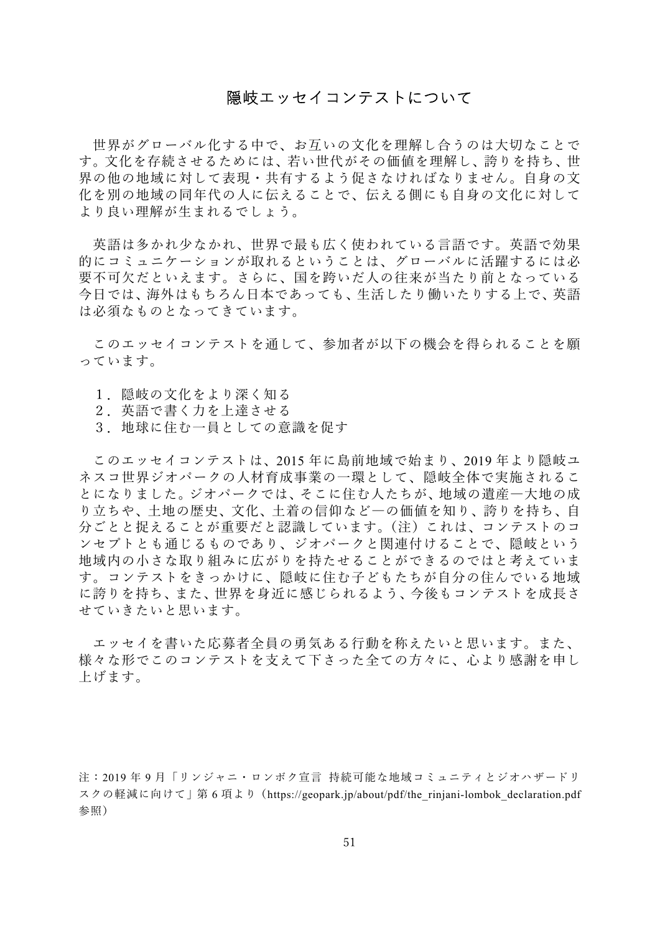## 隠岐エッセイコンテストについて

<span id="page-50-0"></span>世界がグローバル化する中で、お互いの文化を理解し合うのは大切なことで す。文化を存続させるためには、若い世代がその価値を理解し、誇りを持ち、世 界の他の地域に対して表現・共有するよう促さなければなりません。自身の文 化を別の地域の同年代の人に伝えることで、伝える側にも自身の文化に対して より良い理解が生まれるでしょう。

英語は多かれ少なかれ、世界で最も広く使われている言語です。英語で効果 的にコミュニケーションが取れるということは、グローバルに活躍するには必 要不可欠だといえます。さらに、国を跨いだ人の往来が当たり前となっている 今日では、海外はもちろん日本であっても、生活したり働いたりする上で、英語 は必須なものとなってきています。

このエッセイコンテストを通して、参加者が以下の機会を得られることを願 っています。

- 1. 隠岐の文化をより深く知る
- 2. 英語で書く力を上達させる
- 3.地球に住む一員としての意識を促す

このエッセイコンテストは、2015 年に島前地域で始まり、2019 年より隠岐ユ ネスコ世界ジオパークの人材育成事業の一環として、隠岐全体で実施されるこ とになりました。ジオパークでは、そこに住む人たちが、地域の遺産―大地の成 り立ちや、土地の歴史、文化、土着の信仰など―の価値を知り、誇りを持ち、自 分ごとと捉えることが重要だと認識しています。(注)これは、コンテストのコ ンセプトとも通じるものであり、ジオパークと関連付けることで、隠岐という 地域内の小さな取り組みに広がりを持たせることができるのではと考えていま す。コンテストをきっかけに、隠岐に住む子どもたちが自分の住んでいる地域 に誇りを持ち、また、世界を身近に感じられるよう、今後もコンテストを成長さ せていきたいと思います。

エッセイを書いた応募者全員の勇気ある行動を称えたいと思います。また、 様々な形でこのコンテストを支えて下さった全ての方々に、心より感謝を申し 上げます。

注:2019 年 9 月「リンジャニ・ロンボク宣言 持続可能な地域コミュニティとジオハザードリ スクの軽減に向けて | 第 6 項より (https://geopark.jp/about/pdf/the\_rinjani-lombok\_declaration.pdf 参照)